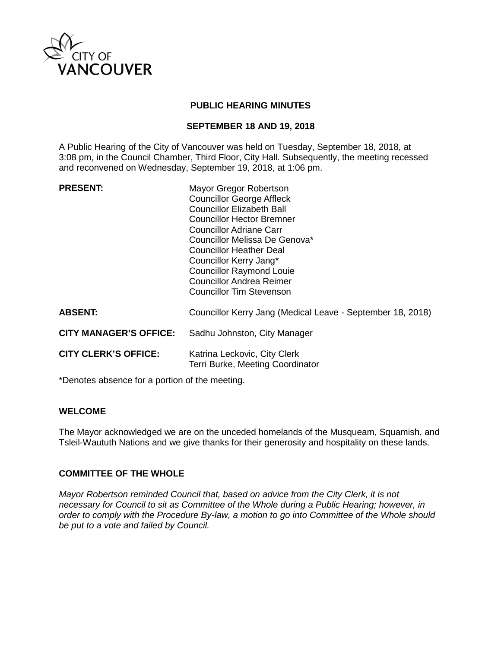

# **PUBLIC HEARING MINUTES**

# **SEPTEMBER 18 AND 19, 2018**

A Public Hearing of the City of Vancouver was held on Tuesday, September 18, 2018, at 3:08 pm, in the Council Chamber, Third Floor, City Hall. Subsequently, the meeting recessed and reconvened on Wednesday, September 19, 2018, at 1:06 pm.

**PRESENT:** Mayor Gregor Robertson Councillor George Affleck Councillor Elizabeth Ball Councillor Hector Bremner Councillor Adriane Carr Councillor Melissa De Genova\* Councillor Heather Deal Councillor Kerry Jang\* Councillor Raymond Louie Councillor Andrea Reimer Councillor Tim Stevenson

| <b>ABSENT:</b>                | Councillor Kerry Jang (Medical Leave - September 18, 2018)       |
|-------------------------------|------------------------------------------------------------------|
| <b>CITY MANAGER'S OFFICE:</b> | Sadhu Johnston, City Manager                                     |
| <b>CITY CLERK'S OFFICE:</b>   | Katrina Leckovic, City Clerk<br>Terri Burke, Meeting Coordinator |

\*Denotes absence for a portion of the meeting.

# **WELCOME**

The Mayor acknowledged we are on the unceded homelands of the Musqueam, Squamish, and Tsleil-Waututh Nations and we give thanks for their generosity and hospitality on these lands.

# **COMMITTEE OF THE WHOLE**

*Mayor Robertson reminded Council that, based on advice from the City Clerk, it is not necessary for Council to sit as Committee of the Whole during a Public Hearing; however, in order to comply with the Procedure By-law, a motion to go into Committee of the Whole should be put to a vote and failed by Council.*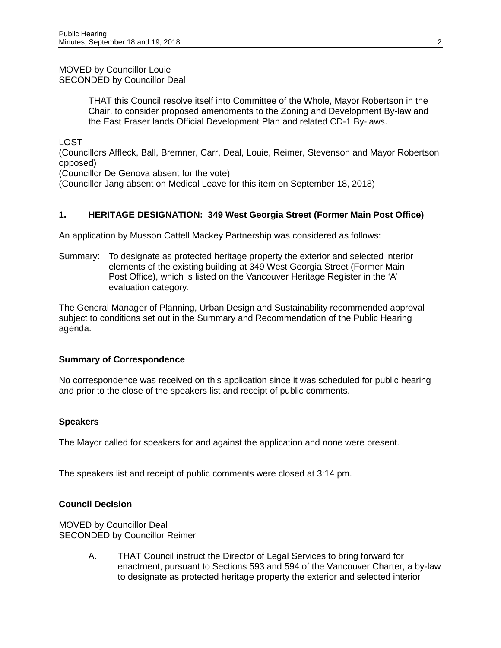MOVED by Councillor Louie SECONDED by Councillor Deal

> THAT this Council resolve itself into Committee of the Whole, Mayor Robertson in the Chair, to consider proposed amendments to the Zoning and Development By-law and the East Fraser lands Official Development Plan and related CD-1 By-laws.

LOST

(Councillors Affleck, Ball, Bremner, Carr, Deal, Louie, Reimer, Stevenson and Mayor Robertson opposed)

(Councillor De Genova absent for the vote)

(Councillor Jang absent on Medical Leave for this item on September 18, 2018)

# **1. HERITAGE DESIGNATION: 349 West Georgia Street (Former Main Post Office)**

An application by Musson Cattell Mackey Partnership was considered as follows:

Summary: To designate as protected heritage property the exterior and selected interior elements of the existing building at 349 West Georgia Street (Former Main Post Office), which is listed on the Vancouver Heritage Register in the 'A' evaluation category.

The General Manager of Planning, Urban Design and Sustainability recommended approval subject to conditions set out in the Summary and Recommendation of the Public Hearing agenda.

#### **Summary of Correspondence**

No correspondence was received on this application since it was scheduled for public hearing and prior to the close of the speakers list and receipt of public comments.

#### **Speakers**

The Mayor called for speakers for and against the application and none were present.

The speakers list and receipt of public comments were closed at 3:14 pm.

# **Council Decision**

MOVED by Councillor Deal SECONDED by Councillor Reimer

> A. THAT Council instruct the Director of Legal Services to bring forward for enactment, pursuant to Sections 593 and 594 of the Vancouver Charter, a by-law to designate as protected heritage property the exterior and selected interior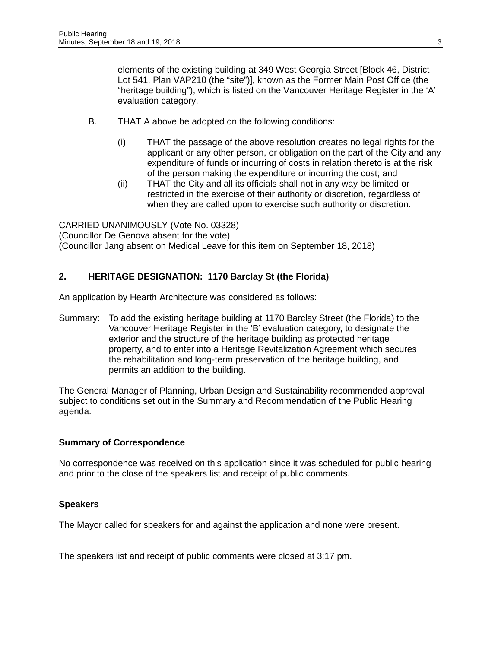elements of the existing building at 349 West Georgia Street [Block 46, District Lot 541, Plan VAP210 (the "site")], known as the Former Main Post Office (the "heritage building"), which is listed on the Vancouver Heritage Register in the 'A' evaluation category.

- B. THAT A above be adopted on the following conditions:
	- (i) THAT the passage of the above resolution creates no legal rights for the applicant or any other person, or obligation on the part of the City and any expenditure of funds or incurring of costs in relation thereto is at the risk of the person making the expenditure or incurring the cost; and
	- (ii) THAT the City and all its officials shall not in any way be limited or restricted in the exercise of their authority or discretion, regardless of when they are called upon to exercise such authority or discretion.

CARRIED UNANIMOUSLY (Vote No. 03328) (Councillor De Genova absent for the vote) (Councillor Jang absent on Medical Leave for this item on September 18, 2018)

# **2. HERITAGE DESIGNATION: 1170 Barclay St (the Florida)**

An application by Hearth Architecture was considered as follows:

Summary: To add the existing heritage building at 1170 Barclay Street (the Florida) to the Vancouver Heritage Register in the 'B' evaluation category, to designate the exterior and the structure of the heritage building as protected heritage property, and to enter into a Heritage Revitalization Agreement which secures the rehabilitation and long-term preservation of the heritage building, and permits an addition to the building.

The General Manager of Planning, Urban Design and Sustainability recommended approval subject to conditions set out in the Summary and Recommendation of the Public Hearing agenda.

# **Summary of Correspondence**

No correspondence was received on this application since it was scheduled for public hearing and prior to the close of the speakers list and receipt of public comments.

# **Speakers**

The Mayor called for speakers for and against the application and none were present.

The speakers list and receipt of public comments were closed at 3:17 pm.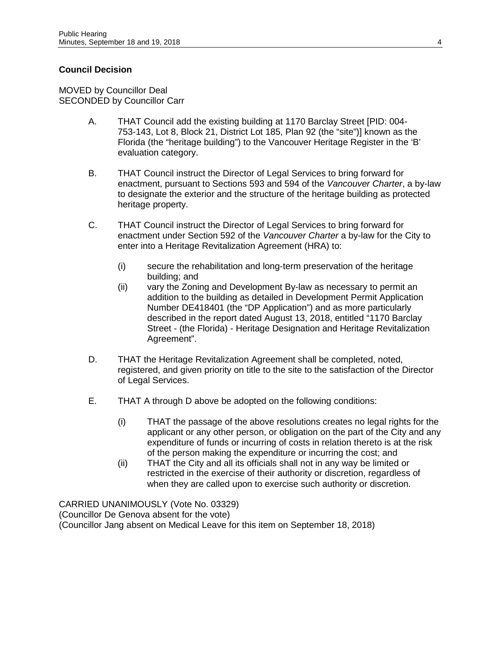# **Council Decision**

MOVED by Councillor Deal SECONDED by Councillor Carr

- A. THAT Council add the existing building at 1170 Barclay Street [PID: 004- 753-143, Lot 8, Block 21, District Lot 185, Plan 92 (the "site")] known as the Florida (the "heritage building") to the Vancouver Heritage Register in the 'B' evaluation category.
- B. THAT Council instruct the Director of Legal Services to bring forward for enactment, pursuant to Sections 593 and 594 of the *Vancouver Charter*, a by-law to designate the exterior and the structure of the heritage building as protected heritage property.
- C. THAT Council instruct the Director of Legal Services to bring forward for enactment under Section 592 of the *Vancouver Charter* a by-law for the City to enter into a Heritage Revitalization Agreement (HRA) to:
	- (i) secure the rehabilitation and long-term preservation of the heritage building; and
	- (ii) vary the Zoning and Development By-law as necessary to permit an addition to the building as detailed in Development Permit Application Number DE418401 (the "DP Application") and as more particularly described in the report dated August 13, 2018, entitled "1170 Barclay Street - (the Florida) - Heritage Designation and Heritage Revitalization Agreement".
- D. THAT the Heritage Revitalization Agreement shall be completed, noted, registered, and given priority on title to the site to the satisfaction of the Director of Legal Services.
- E. THAT A through D above be adopted on the following conditions:
	- (i) THAT the passage of the above resolutions creates no legal rights for the applicant or any other person, or obligation on the part of the City and any expenditure of funds or incurring of costs in relation thereto is at the risk of the person making the expenditure or incurring the cost; and
	- (ii) THAT the City and all its officials shall not in any way be limited or restricted in the exercise of their authority or discretion, regardless of when they are called upon to exercise such authority or discretion.

CARRIED UNANIMOUSLY (Vote No. 03329) (Councillor De Genova absent for the vote) (Councillor Jang absent on Medical Leave for this item on September 18, 2018)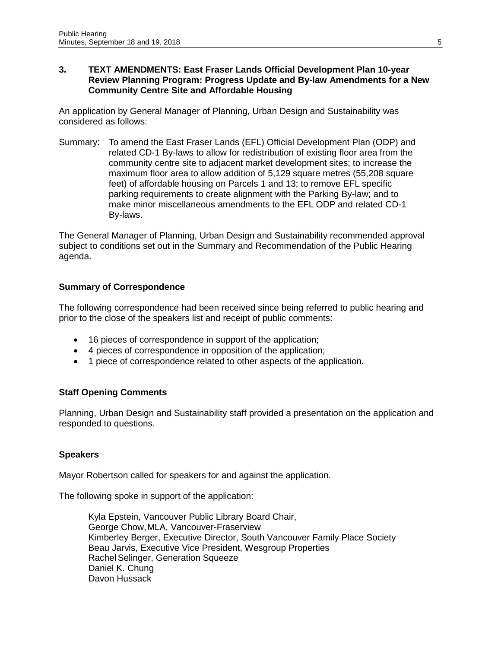#### **3. TEXT AMENDMENTS: East Fraser Lands Official Development Plan 10-year Review Planning Program: Progress Update and By-law Amendments for a New Community Centre Site and Affordable Housing**

An application by General Manager of Planning, Urban Design and Sustainability was considered as follows:

Summary: To amend the East Fraser Lands (EFL) Official Development Plan (ODP) and related CD-1 By-laws to allow for redistribution of existing floor area from the community centre site to adjacent market development sites; to increase the maximum floor area to allow addition of 5,129 square metres (55,208 square feet) of affordable housing on Parcels 1 and 13; to remove EFL specific parking requirements to create alignment with the Parking By-law; and to make minor miscellaneous amendments to the EFL ODP and related CD-1 By-laws.

The General Manager of Planning, Urban Design and Sustainability recommended approval subject to conditions set out in the Summary and Recommendation of the Public Hearing agenda.

# **Summary of Correspondence**

The following correspondence had been received since being referred to public hearing and prior to the close of the speakers list and receipt of public comments:

- 16 pieces of correspondence in support of the application;
- 4 pieces of correspondence in opposition of the application;
- 1 piece of correspondence related to other aspects of the application.

#### **Staff Opening Comments**

Planning, Urban Design and Sustainability staff provided a presentation on the application and responded to questions.

#### **Speakers**

Mayor Robertson called for speakers for and against the application.

The following spoke in support of the application:

Kyla Epstein, Vancouver Public Library Board Chair, George Chow, MLA, Vancouver-Fraserview Kimberley Berger, Executive Director, South Vancouver Family Place Society Beau Jarvis, Executive Vice President, Wesgroup Properties Rachel Selinger, Generation Squeeze Daniel K. Chung Davon Hussack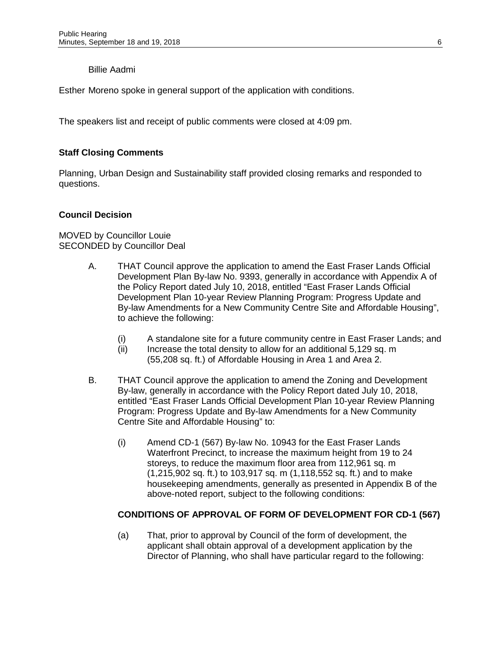## Billie Aadmi

Esther Moreno spoke in general support of the application with conditions.

The speakers list and receipt of public comments were closed at 4:09 pm.

# **Staff Closing Comments**

Planning, Urban Design and Sustainability staff provided closing remarks and responded to questions.

#### **Council Decision**

MOVED by Councillor Louie SECONDED by Councillor Deal

- A. THAT Council approve the application to amend the East Fraser Lands Official Development Plan By-law No. 9393, generally in accordance with Appendix A of the Policy Report dated July 10, 2018, entitled "East Fraser Lands Official Development Plan 10-year Review Planning Program: Progress Update and By-law Amendments for a New Community Centre Site and Affordable Housing", to achieve the following:
	- (i) A standalone site for a future community centre in East Fraser Lands; and
	- (ii) Increase the total density to allow for an additional 5,129 sq. m (55,208 sq. ft.) of Affordable Housing in Area 1 and Area 2.
- B. THAT Council approve the application to amend the Zoning and Development By-law, generally in accordance with the Policy Report dated July 10, 2018, entitled "East Fraser Lands Official Development Plan 10-year Review Planning Program: Progress Update and By-law Amendments for a New Community Centre Site and Affordable Housing" to:
	- (i) Amend CD-1 (567) By-law No. 10943 for the East Fraser Lands Waterfront Precinct, to increase the maximum height from 19 to 24 storeys, to reduce the maximum floor area from 112,961 sq. m (1,215,902 sq. ft.) to 103,917 sq. m (1,118,552 sq. ft.) and to make housekeeping amendments, generally as presented in Appendix B of the above-noted report, subject to the following conditions:

#### **CONDITIONS OF APPROVAL OF FORM OF DEVELOPMENT FOR CD-1 (567)**

(a) That, prior to approval by Council of the form of development, the applicant shall obtain approval of a development application by the Director of Planning, who shall have particular regard to the following: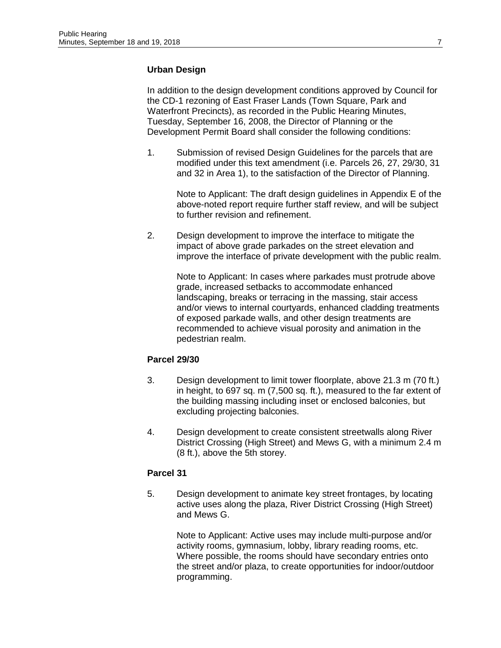# **Urban Design**

In addition to the design development conditions approved by Council for the CD-1 rezoning of East Fraser Lands (Town Square, Park and Waterfront Precincts), as recorded in the Public Hearing Minutes, Tuesday, September 16, 2008, the Director of Planning or the Development Permit Board shall consider the following conditions:

1. Submission of revised Design Guidelines for the parcels that are modified under this text amendment (i.e. Parcels 26, 27, 29/30, 31 and 32 in Area 1), to the satisfaction of the Director of Planning.

Note to Applicant: The draft design guidelines in Appendix E of the above-noted report require further staff review, and will be subject to further revision and refinement.

2. Design development to improve the interface to mitigate the impact of above grade parkades on the street elevation and improve the interface of private development with the public realm.

Note to Applicant: In cases where parkades must protrude above grade, increased setbacks to accommodate enhanced landscaping, breaks or terracing in the massing, stair access and/or views to internal courtyards, enhanced cladding treatments of exposed parkade walls, and other design treatments are recommended to achieve visual porosity and animation in the pedestrian realm.

# **Parcel 29/30**

- 3. Design development to limit tower floorplate, above 21.3 m (70 ft.) in height, to 697 sq. m (7,500 sq. ft.), measured to the far extent of the building massing including inset or enclosed balconies, but excluding projecting balconies.
- 4. Design development to create consistent streetwalls along River District Crossing (High Street) and Mews G, with a minimum 2.4 m (8 ft.), above the 5th storey.

# **Parcel 31**

5. Design development to animate key street frontages, by locating active uses along the plaza, River District Crossing (High Street) and Mews G.

> Note to Applicant: Active uses may include multi-purpose and/or activity rooms, gymnasium, lobby, library reading rooms, etc. Where possible, the rooms should have secondary entries onto the street and/or plaza, to create opportunities for indoor/outdoor programming.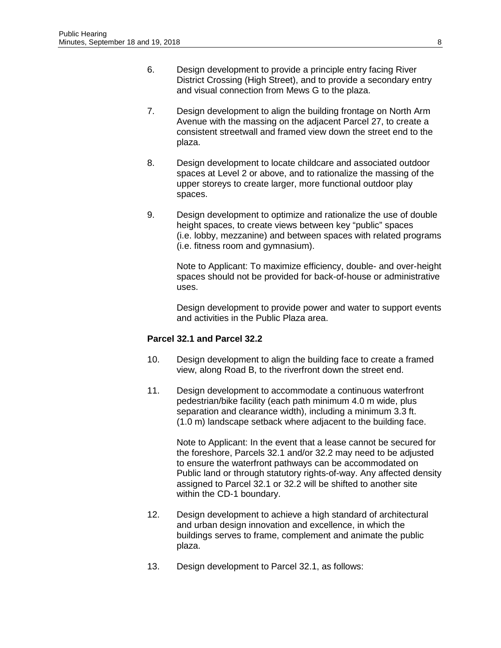- 6. Design development to provide a principle entry facing River District Crossing (High Street), and to provide a secondary entry and visual connection from Mews G to the plaza.
- 7. Design development to align the building frontage on North Arm Avenue with the massing on the adjacent Parcel 27, to create a consistent streetwall and framed view down the street end to the plaza.
- 8. Design development to locate childcare and associated outdoor spaces at Level 2 or above, and to rationalize the massing of the upper storeys to create larger, more functional outdoor play spaces.
- 9. Design development to optimize and rationalize the use of double height spaces, to create views between key "public" spaces (i.e. lobby, mezzanine) and between spaces with related programs (i.e. fitness room and gymnasium).

Note to Applicant: To maximize efficiency, double- and over-height spaces should not be provided for back-of-house or administrative uses.

Design development to provide power and water to support events and activities in the Public Plaza area.

# **Parcel 32.1 and Parcel 32.2**

- 10. Design development to align the building face to create a framed view, along Road B, to the riverfront down the street end.
- 11. Design development to accommodate a continuous waterfront pedestrian/bike facility (each path minimum 4.0 m wide, plus separation and clearance width), including a minimum 3.3 ft. (1.0 m) landscape setback where adjacent to the building face.

Note to Applicant: In the event that a lease cannot be secured for the foreshore, Parcels 32.1 and/or 32.2 may need to be adjusted to ensure the waterfront pathways can be accommodated on Public land or through statutory rights-of-way. Any affected density assigned to Parcel 32.1 or 32.2 will be shifted to another site within the CD-1 boundary.

- 12. Design development to achieve a high standard of architectural and urban design innovation and excellence, in which the buildings serves to frame, complement and animate the public plaza.
- 13. Design development to Parcel 32.1, as follows: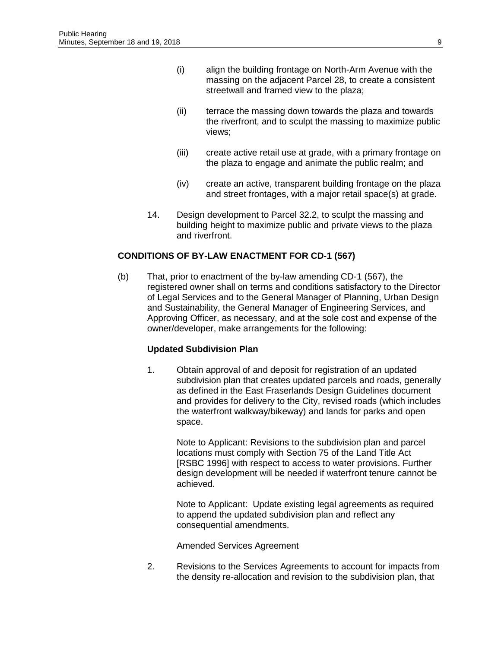- (i) align the building frontage on North-Arm Avenue with the massing on the adjacent Parcel 28, to create a consistent streetwall and framed view to the plaza;
- (ii) terrace the massing down towards the plaza and towards the riverfront, and to sculpt the massing to maximize public views;
- (iii) create active retail use at grade, with a primary frontage on the plaza to engage and animate the public realm; and
- (iv) create an active, transparent building frontage on the plaza and street frontages, with a major retail space(s) at grade.
- 14. Design development to Parcel 32.2, to sculpt the massing and building height to maximize public and private views to the plaza and riverfront.

# **CONDITIONS OF BY-LAW ENACTMENT FOR CD-1 (567)**

(b) That, prior to enactment of the by-law amending CD-1 (567), the registered owner shall on terms and conditions satisfactory to the Director of Legal Services and to the General Manager of Planning, Urban Design and Sustainability, the General Manager of Engineering Services, and Approving Officer, as necessary, and at the sole cost and expense of the owner/developer, make arrangements for the following:

#### **Updated Subdivision Plan**

1. Obtain approval of and deposit for registration of an updated subdivision plan that creates updated parcels and roads, generally as defined in the East Fraserlands Design Guidelines document and provides for delivery to the City, revised roads (which includes the waterfront walkway/bikeway) and lands for parks and open space.

Note to Applicant: Revisions to the subdivision plan and parcel locations must comply with Section 75 of the Land Title Act [RSBC 1996] with respect to access to water provisions. Further design development will be needed if waterfront tenure cannot be achieved.

Note to Applicant: Update existing legal agreements as required to append the updated subdivision plan and reflect any consequential amendments.

Amended Services Agreement

2. Revisions to the Services Agreements to account for impacts from the density re-allocation and revision to the subdivision plan, that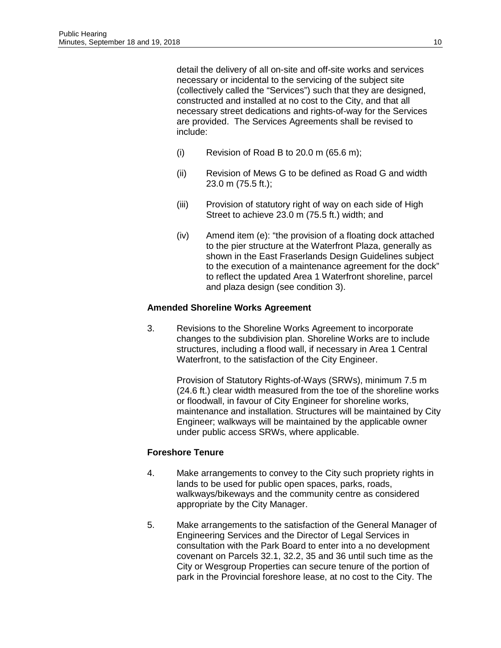detail the delivery of all on-site and off-site works and services necessary or incidental to the servicing of the subject site (collectively called the "Services") such that they are designed, constructed and installed at no cost to the City, and that all necessary street dedications and rights-of-way for the Services are provided. The Services Agreements shall be revised to include:

- (i) Revision of Road B to  $20.0$  m  $(65.6 \text{ m})$ ;
- (ii) Revision of Mews G to be defined as Road G and width 23.0 m (75.5 ft.);
- (iii) Provision of statutory right of way on each side of High Street to achieve 23.0 m (75.5 ft.) width; and
- (iv) Amend item (e): "the provision of a floating dock attached to the pier structure at the Waterfront Plaza, generally as shown in the East Fraserlands Design Guidelines subject to the execution of a maintenance agreement for the dock" to reflect the updated Area 1 Waterfront shoreline, parcel and plaza design (see condition 3).

#### **Amended Shoreline Works Agreement**

3. Revisions to the Shoreline Works Agreement to incorporate changes to the subdivision plan. Shoreline Works are to include structures, including a flood wall, if necessary in Area 1 Central Waterfront, to the satisfaction of the City Engineer.

> Provision of Statutory Rights-of-Ways (SRWs), minimum 7.5 m (24.6 ft.) clear width measured from the toe of the shoreline works or floodwall, in favour of City Engineer for shoreline works, maintenance and installation. Structures will be maintained by City Engineer; walkways will be maintained by the applicable owner under public access SRWs, where applicable.

#### **Foreshore Tenure**

- 4. Make arrangements to convey to the City such propriety rights in lands to be used for public open spaces, parks, roads, walkways/bikeways and the community centre as considered appropriate by the City Manager.
- 5. Make arrangements to the satisfaction of the General Manager of Engineering Services and the Director of Legal Services in consultation with the Park Board to enter into a no development covenant on Parcels 32.1, 32.2, 35 and 36 until such time as the City or Wesgroup Properties can secure tenure of the portion of park in the Provincial foreshore lease, at no cost to the City. The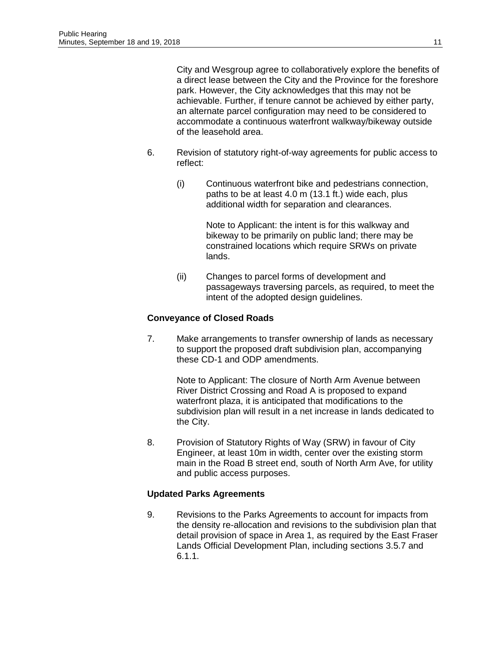City and Wesgroup agree to collaboratively explore the benefits of a direct lease between the City and the Province for the foreshore park. However, the City acknowledges that this may not be achievable. Further, if tenure cannot be achieved by either party, an alternate parcel configuration may need to be considered to accommodate a continuous waterfront walkway/bikeway outside of the leasehold area.

- 6. Revision of statutory right-of-way agreements for public access to reflect:
	- (i) Continuous waterfront bike and pedestrians connection, paths to be at least 4.0 m (13.1 ft.) wide each, plus additional width for separation and clearances.

Note to Applicant: the intent is for this walkway and bikeway to be primarily on public land; there may be constrained locations which require SRWs on private lands.

(ii) Changes to parcel forms of development and passageways traversing parcels, as required, to meet the intent of the adopted design guidelines.

# **Conveyance of Closed Roads**

7. Make arrangements to transfer ownership of lands as necessary to support the proposed draft subdivision plan, accompanying these CD-1 and ODP amendments.

Note to Applicant: The closure of North Arm Avenue between River District Crossing and Road A is proposed to expand waterfront plaza, it is anticipated that modifications to the subdivision plan will result in a net increase in lands dedicated to the City.

8. Provision of Statutory Rights of Way (SRW) in favour of City Engineer, at least 10m in width, center over the existing storm main in the Road B street end, south of North Arm Ave, for utility and public access purposes.

# **Updated Parks Agreements**

9. Revisions to the Parks Agreements to account for impacts from the density re-allocation and revisions to the subdivision plan that detail provision of space in Area 1, as required by the East Fraser Lands Official Development Plan, including sections 3.5.7 and 6.1.1.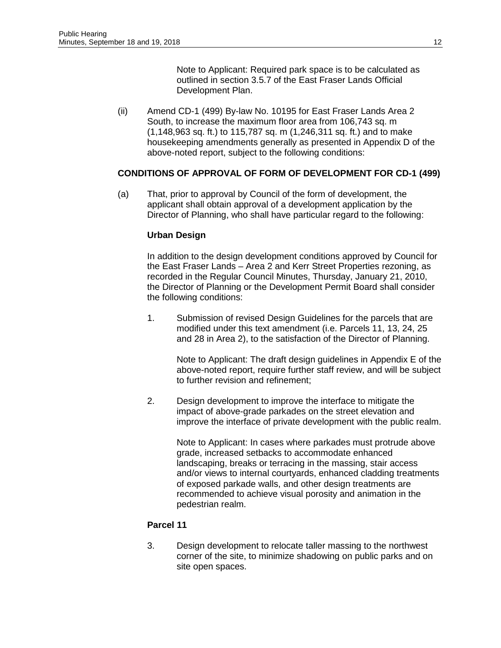Note to Applicant: Required park space is to be calculated as outlined in section 3.5.7 of the East Fraser Lands Official Development Plan.

(ii) Amend CD-1 (499) By-law No. 10195 for East Fraser Lands Area 2 South, to increase the maximum floor area from 106,743 sq. m (1,148,963 sq. ft.) to 115,787 sq. m (1,246,311 sq. ft.) and to make housekeeping amendments generally as presented in Appendix D of the above-noted report, subject to the following conditions:

# **CONDITIONS OF APPROVAL OF FORM OF DEVELOPMENT FOR CD-1 (499)**

(a) That, prior to approval by Council of the form of development, the applicant shall obtain approval of a development application by the Director of Planning, who shall have particular regard to the following:

#### **Urban Design**

In addition to the design development conditions approved by Council for the East Fraser Lands – Area 2 and Kerr Street Properties rezoning, as recorded in the Regular Council Minutes, Thursday, January 21, 2010, the Director of Planning or the Development Permit Board shall consider the following conditions:

1. Submission of revised Design Guidelines for the parcels that are modified under this text amendment (i.e. Parcels 11, 13, 24, 25 and 28 in Area 2), to the satisfaction of the Director of Planning.

Note to Applicant: The draft design guidelines in Appendix E of the above-noted report, require further staff review, and will be subject to further revision and refinement;

2. Design development to improve the interface to mitigate the impact of above-grade parkades on the street elevation and improve the interface of private development with the public realm.

Note to Applicant: In cases where parkades must protrude above grade, increased setbacks to accommodate enhanced landscaping, breaks or terracing in the massing, stair access and/or views to internal courtyards, enhanced cladding treatments of exposed parkade walls, and other design treatments are recommended to achieve visual porosity and animation in the pedestrian realm.

#### **Parcel 11**

3. Design development to relocate taller massing to the northwest corner of the site, to minimize shadowing on public parks and on site open spaces.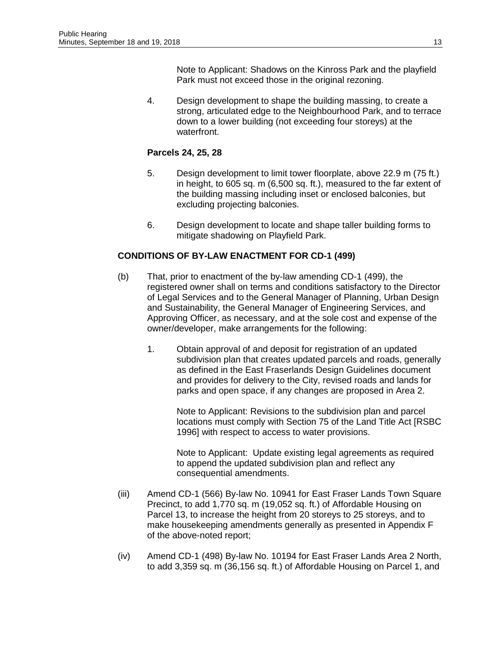Note to Applicant: Shadows on the Kinross Park and the playfield Park must not exceed those in the original rezoning.

4. Design development to shape the building massing, to create a strong, articulated edge to the Neighbourhood Park, and to terrace down to a lower building (not exceeding four storeys) at the waterfront.

# **Parcels 24, 25, 28**

- 5. Design development to limit tower floorplate, above 22.9 m (75 ft.) in height, to 605 sq. m (6,500 sq. ft.), measured to the far extent of the building massing including inset or enclosed balconies, but excluding projecting balconies.
- 6. Design development to locate and shape taller building forms to mitigate shadowing on Playfield Park.

# **CONDITIONS OF BY-LAW ENACTMENT FOR CD-1 (499)**

- (b) That, prior to enactment of the by-law amending CD-1 (499), the registered owner shall on terms and conditions satisfactory to the Director of Legal Services and to the General Manager of Planning, Urban Design and Sustainability, the General Manager of Engineering Services, and Approving Officer, as necessary, and at the sole cost and expense of the owner/developer, make arrangements for the following:
	- 1. Obtain approval of and deposit for registration of an updated subdivision plan that creates updated parcels and roads, generally as defined in the East Fraserlands Design Guidelines document and provides for delivery to the City, revised roads and lands for parks and open space, if any changes are proposed in Area 2.

Note to Applicant: Revisions to the subdivision plan and parcel locations must comply with Section 75 of the Land Title Act [RSBC 1996] with respect to access to water provisions.

Note to Applicant: Update existing legal agreements as required to append the updated subdivision plan and reflect any consequential amendments.

- (iii) Amend CD-1 (566) By-law No. 10941 for East Fraser Lands Town Square Precinct, to add 1,770 sq. m (19,052 sq. ft.) of Affordable Housing on Parcel 13, to increase the height from 20 storeys to 25 storeys, and to make housekeeping amendments generally as presented in Appendix F of the above-noted report;
- (iv) Amend CD-1 (498) By-law No. 10194 for East Fraser Lands Area 2 North, to add 3,359 sq. m (36,156 sq. ft.) of Affordable Housing on Parcel 1, and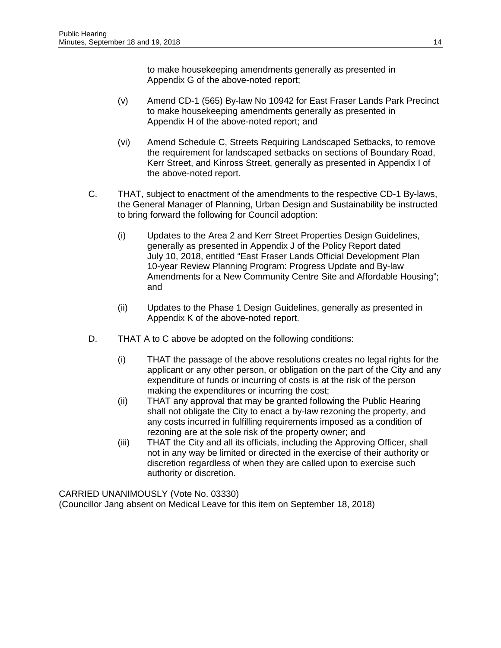to make housekeeping amendments generally as presented in Appendix G of the above-noted report;

- (v) Amend CD-1 (565) By-law No 10942 for East Fraser Lands Park Precinct to make housekeeping amendments generally as presented in Appendix H of the above-noted report; and
- (vi) Amend Schedule C, Streets Requiring Landscaped Setbacks, to remove the requirement for landscaped setbacks on sections of Boundary Road, Kerr Street, and Kinross Street, generally as presented in Appendix I of the above-noted report.
- C. THAT, subject to enactment of the amendments to the respective CD-1 By-laws, the General Manager of Planning, Urban Design and Sustainability be instructed to bring forward the following for Council adoption:
	- (i) Updates to the Area 2 and Kerr Street Properties Design Guidelines, generally as presented in Appendix J of the Policy Report dated July 10, 2018, entitled "East Fraser Lands Official Development Plan 10-year Review Planning Program: Progress Update and By-law Amendments for a New Community Centre Site and Affordable Housing"; and
	- (ii) Updates to the Phase 1 Design Guidelines, generally as presented in Appendix K of the above-noted report.
- D. THAT A to C above be adopted on the following conditions:
	- (i) THAT the passage of the above resolutions creates no legal rights for the applicant or any other person, or obligation on the part of the City and any expenditure of funds or incurring of costs is at the risk of the person making the expenditures or incurring the cost;
	- (ii) THAT any approval that may be granted following the Public Hearing shall not obligate the City to enact a by-law rezoning the property, and any costs incurred in fulfilling requirements imposed as a condition of rezoning are at the sole risk of the property owner; and
	- (iii) THAT the City and all its officials, including the Approving Officer, shall not in any way be limited or directed in the exercise of their authority or discretion regardless of when they are called upon to exercise such authority or discretion.

CARRIED UNANIMOUSLY (Vote No. 03330) (Councillor Jang absent on Medical Leave for this item on September 18, 2018)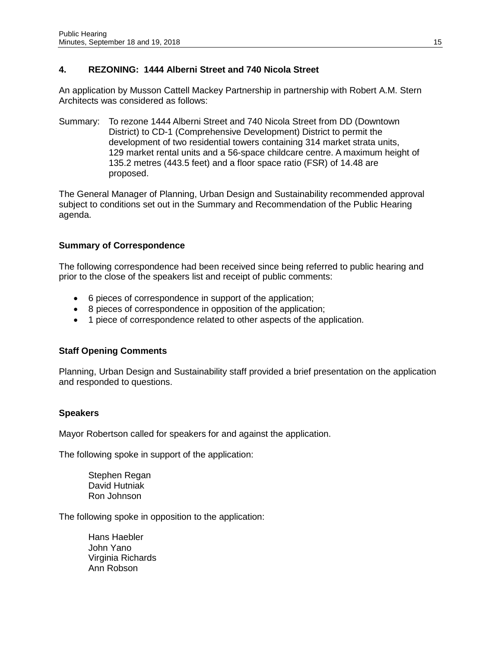# **4. REZONING: 1444 Alberni Street and 740 Nicola Street**

An application by Musson Cattell Mackey Partnership in partnership with Robert A.M. Stern Architects was considered as follows:

Summary: To rezone 1444 Alberni Street and 740 Nicola Street from DD (Downtown District) to CD-1 (Comprehensive Development) District to permit the development of two residential towers containing 314 market strata units, 129 market rental units and a 56-space childcare centre. A maximum height of 135.2 metres (443.5 feet) and a floor space ratio (FSR) of 14.48 are proposed.

The General Manager of Planning, Urban Design and Sustainability recommended approval subject to conditions set out in the Summary and Recommendation of the Public Hearing agenda.

# **Summary of Correspondence**

The following correspondence had been received since being referred to public hearing and prior to the close of the speakers list and receipt of public comments:

- 6 pieces of correspondence in support of the application;
- 8 pieces of correspondence in opposition of the application;
- 1 piece of correspondence related to other aspects of the application.

# **Staff Opening Comments**

Planning, Urban Design and Sustainability staff provided a brief presentation on the application and responded to questions.

#### **Speakers**

Mayor Robertson called for speakers for and against the application.

The following spoke in support of the application:

Stephen Regan David Hutniak Ron Johnson

The following spoke in opposition to the application:

Hans Haebler John Yano Virginia Richards Ann Robson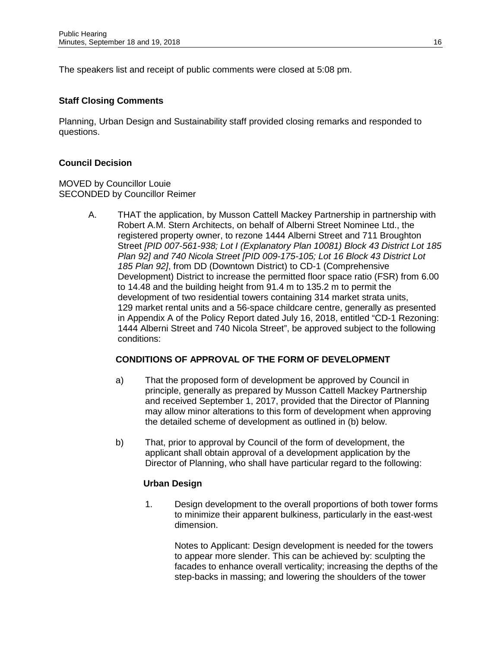The speakers list and receipt of public comments were closed at 5:08 pm.

# **Staff Closing Comments**

Planning, Urban Design and Sustainability staff provided closing remarks and responded to questions.

## **Council Decision**

MOVED by Councillor Louie SECONDED by Councillor Reimer

> A. THAT the application, by Musson Cattell Mackey Partnership in partnership with Robert A.M. Stern Architects, on behalf of Alberni Street Nominee Ltd., the registered property owner, to rezone 1444 Alberni Street and 711 Broughton Street *[PID 007-561-938; Lot I (Explanatory Plan 10081) Block 43 District Lot 185 Plan 92] and 740 Nicola Street [PID 009-175-105; Lot 16 Block 43 District Lot 185 Plan 92]*, from DD (Downtown District) to CD-1 (Comprehensive Development) District to increase the permitted floor space ratio (FSR) from 6.00 to 14.48 and the building height from 91.4 m to 135.2 m to permit the development of two residential towers containing 314 market strata units, 129 market rental units and a 56-space childcare centre, generally as presented in Appendix A of the Policy Report dated July 16, 2018, entitled "CD-1 Rezoning: 1444 Alberni Street and 740 Nicola Street", be approved subject to the following conditions:

# **CONDITIONS OF APPROVAL OF THE FORM OF DEVELOPMENT**

- a) That the proposed form of development be approved by Council in principle, generally as prepared by Musson Cattell Mackey Partnership and received September 1, 2017, provided that the Director of Planning may allow minor alterations to this form of development when approving the detailed scheme of development as outlined in (b) below.
- b) That, prior to approval by Council of the form of development, the applicant shall obtain approval of a development application by the Director of Planning, who shall have particular regard to the following:

#### **Urban Design**

1. Design development to the overall proportions of both tower forms to minimize their apparent bulkiness, particularly in the east-west dimension.

Notes to Applicant: Design development is needed for the towers to appear more slender. This can be achieved by: sculpting the facades to enhance overall verticality; increasing the depths of the step-backs in massing; and lowering the shoulders of the tower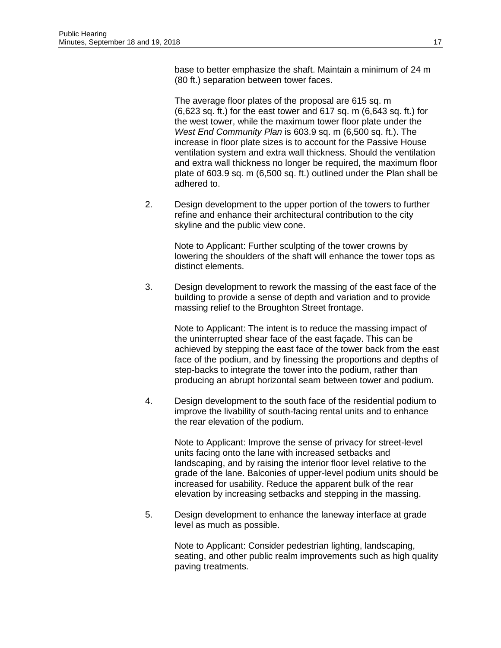base to better emphasize the shaft. Maintain a minimum of 24 m (80 ft.) separation between tower faces.

The average floor plates of the proposal are 615 sq. m (6,623 sq. ft.) for the east tower and 617 sq. m (6,643 sq. ft.) for the west tower, while the maximum tower floor plate under the *West End Community Plan* is 603.9 sq. m (6,500 sq. ft.). The increase in floor plate sizes is to account for the Passive House ventilation system and extra wall thickness. Should the ventilation and extra wall thickness no longer be required, the maximum floor plate of 603.9 sq. m (6,500 sq. ft.) outlined under the Plan shall be adhered to.

2. Design development to the upper portion of the towers to further refine and enhance their architectural contribution to the city skyline and the public view cone.

> Note to Applicant: Further sculpting of the tower crowns by lowering the shoulders of the shaft will enhance the tower tops as distinct elements.

3. Design development to rework the massing of the east face of the building to provide a sense of depth and variation and to provide massing relief to the Broughton Street frontage.

Note to Applicant: The intent is to reduce the massing impact of the uninterrupted shear face of the east façade. This can be achieved by stepping the east face of the tower back from the east face of the podium, and by finessing the proportions and depths of step-backs to integrate the tower into the podium, rather than producing an abrupt horizontal seam between tower and podium.

4. Design development to the south face of the residential podium to improve the livability of south-facing rental units and to enhance the rear elevation of the podium.

> Note to Applicant: Improve the sense of privacy for street-level units facing onto the lane with increased setbacks and landscaping, and by raising the interior floor level relative to the grade of the lane. Balconies of upper-level podium units should be increased for usability. Reduce the apparent bulk of the rear elevation by increasing setbacks and stepping in the massing.

5. Design development to enhance the laneway interface at grade level as much as possible.

> Note to Applicant: Consider pedestrian lighting, landscaping, seating, and other public realm improvements such as high quality paving treatments.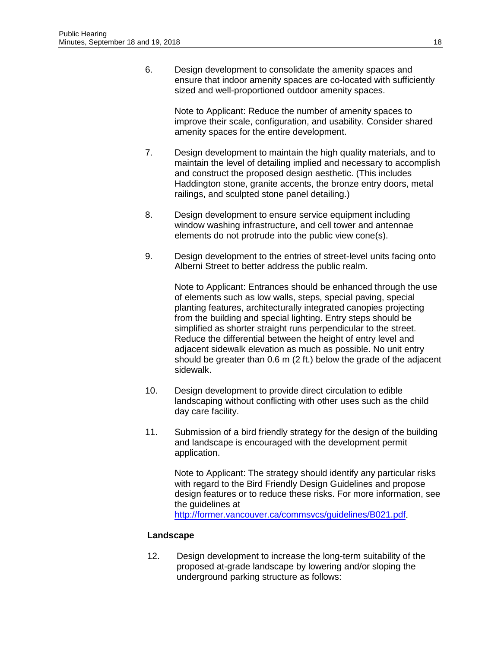6. Design development to consolidate the amenity spaces and ensure that indoor amenity spaces are co-located with sufficiently sized and well-proportioned outdoor amenity spaces.

Note to Applicant: Reduce the number of amenity spaces to improve their scale, configuration, and usability. Consider shared amenity spaces for the entire development.

- 7. Design development to maintain the high quality materials, and to maintain the level of detailing implied and necessary to accomplish and construct the proposed design aesthetic. (This includes Haddington stone, granite accents, the bronze entry doors, metal railings, and sculpted stone panel detailing.)
- 8. Design development to ensure service equipment including window washing infrastructure, and cell tower and antennae elements do not protrude into the public view cone(s).
- 9. Design development to the entries of street-level units facing onto Alberni Street to better address the public realm.

Note to Applicant: Entrances should be enhanced through the use of elements such as low walls, steps, special paving, special planting features, architecturally integrated canopies projecting from the building and special lighting. Entry steps should be simplified as shorter straight runs perpendicular to the street. Reduce the differential between the height of entry level and adjacent sidewalk elevation as much as possible. No unit entry should be greater than 0.6 m (2 ft.) below the grade of the adjacent sidewalk.

- 10. Design development to provide direct circulation to edible landscaping without conflicting with other uses such as the child day care facility.
- 11. Submission of a bird friendly strategy for the design of the building and landscape is encouraged with the development permit application.

Note to Applicant: The strategy should identify any particular risks with regard to the Bird Friendly Design Guidelines and propose design features or to reduce these risks. For more information, see the guidelines at

[http://former.vancouver.ca/commsvcs/guidelines/B021.pdf.](http://former.vancouver.ca/commsvcs/guidelines/B021.pdf)

#### **Landscape**

12. Design development to increase the long-term suitability of the proposed at-grade landscape by lowering and/or sloping the underground parking structure as follows: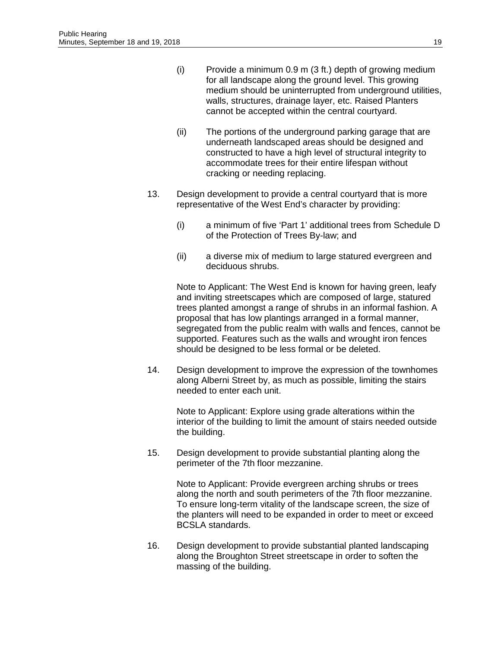- (i) Provide a minimum 0.9 m (3 ft.) depth of growing medium for all landscape along the ground level. This growing medium should be uninterrupted from underground utilities, walls, structures, drainage layer, etc. Raised Planters cannot be accepted within the central courtyard.
- (ii) The portions of the underground parking garage that are underneath landscaped areas should be designed and constructed to have a high level of structural integrity to accommodate trees for their entire lifespan without cracking or needing replacing.
- 13. Design development to provide a central courtyard that is more representative of the West End's character by providing:
	- (i) a minimum of five 'Part 1' additional trees from Schedule D of the Protection of Trees By-law; and
	- (ii) a diverse mix of medium to large statured evergreen and deciduous shrubs.

Note to Applicant: The West End is known for having green, leafy and inviting streetscapes which are composed of large, statured trees planted amongst a range of shrubs in an informal fashion. A proposal that has low plantings arranged in a formal manner, segregated from the public realm with walls and fences, cannot be supported. Features such as the walls and wrought iron fences should be designed to be less formal or be deleted.

14. Design development to improve the expression of the townhomes along Alberni Street by, as much as possible, limiting the stairs needed to enter each unit.

Note to Applicant: Explore using grade alterations within the interior of the building to limit the amount of stairs needed outside the building.

15. Design development to provide substantial planting along the perimeter of the 7th floor mezzanine.

> Note to Applicant: Provide evergreen arching shrubs or trees along the north and south perimeters of the 7th floor mezzanine. To ensure long-term vitality of the landscape screen, the size of the planters will need to be expanded in order to meet or exceed BCSLA standards.

16. Design development to provide substantial planted landscaping along the Broughton Street streetscape in order to soften the massing of the building.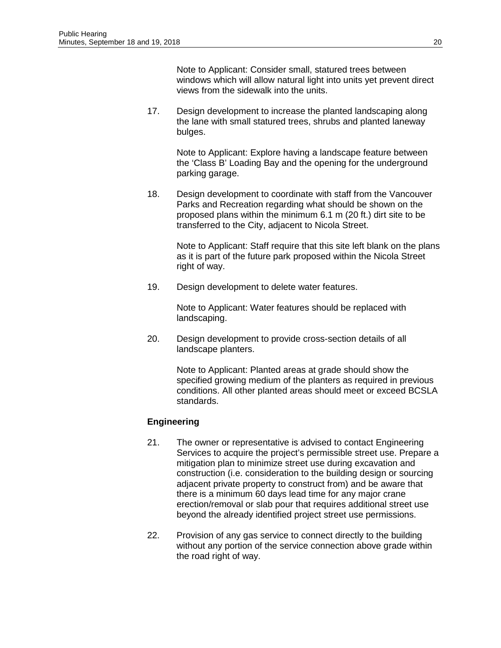Note to Applicant: Consider small, statured trees between windows which will allow natural light into units yet prevent direct views from the sidewalk into the units.

17. Design development to increase the planted landscaping along the lane with small statured trees, shrubs and planted laneway bulges.

Note to Applicant: Explore having a landscape feature between the 'Class B' Loading Bay and the opening for the underground parking garage.

18. Design development to coordinate with staff from the Vancouver Parks and Recreation regarding what should be shown on the proposed plans within the minimum 6.1 m (20 ft.) dirt site to be transferred to the City, adjacent to Nicola Street.

> Note to Applicant: Staff require that this site left blank on the plans as it is part of the future park proposed within the Nicola Street right of way.

19. Design development to delete water features.

Note to Applicant: Water features should be replaced with landscaping.

20. Design development to provide cross-section details of all landscape planters.

> Note to Applicant: Planted areas at grade should show the specified growing medium of the planters as required in previous conditions. All other planted areas should meet or exceed BCSLA standards.

# **Engineering**

- 21. The owner or representative is advised to contact Engineering Services to acquire the project's permissible street use. Prepare a mitigation plan to minimize street use during excavation and construction (i.e. consideration to the building design or sourcing adjacent private property to construct from) and be aware that there is a minimum 60 days lead time for any major crane erection/removal or slab pour that requires additional street use beyond the already identified project street use permissions.
- 22. Provision of any gas service to connect directly to the building without any portion of the service connection above grade within the road right of way.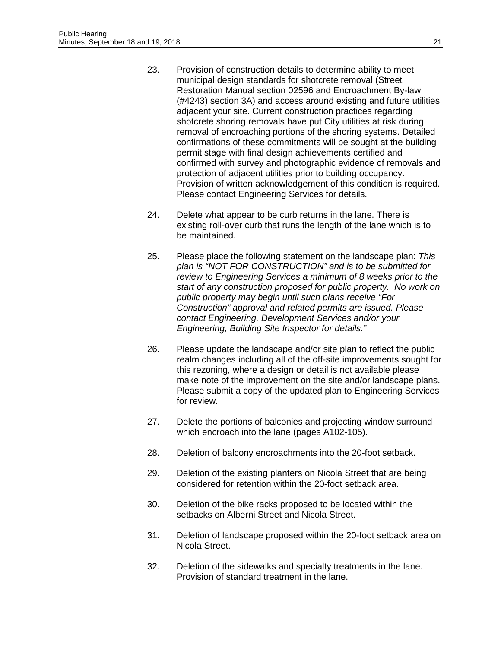- 23. Provision of construction details to determine ability to meet municipal design standards for shotcrete removal (Street Restoration Manual section 02596 and Encroachment By-law (#4243) section 3A) and access around existing and future utilities adjacent your site. Current construction practices regarding shotcrete shoring removals have put City utilities at risk during removal of encroaching portions of the shoring systems. Detailed confirmations of these commitments will be sought at the building permit stage with final design achievements certified and confirmed with survey and photographic evidence of removals and protection of adjacent utilities prior to building occupancy. Provision of written acknowledgement of this condition is required. Please contact Engineering Services for details.
- 24. Delete what appear to be curb returns in the lane. There is existing roll-over curb that runs the length of the lane which is to be maintained.
- 25. Please place the following statement on the landscape plan: *This plan is "NOT FOR CONSTRUCTION" and is to be submitted for review to Engineering Services a minimum of 8 weeks prior to the start of any construction proposed for public property. No work on public property may begin until such plans receive "For Construction" approval and related permits are issued. Please contact Engineering, Development Services and/or your Engineering, Building Site Inspector for details."*
- 26. Please update the landscape and/or site plan to reflect the public realm changes including all of the off-site improvements sought for this rezoning, where a design or detail is not available please make note of the improvement on the site and/or landscape plans. Please submit a copy of the updated plan to Engineering Services for review.
- 27. Delete the portions of balconies and projecting window surround which encroach into the lane (pages A102-105).
- 28. Deletion of balcony encroachments into the 20-foot setback.
- 29. Deletion of the existing planters on Nicola Street that are being considered for retention within the 20-foot setback area.
- 30. Deletion of the bike racks proposed to be located within the setbacks on Alberni Street and Nicola Street.
- 31. Deletion of landscape proposed within the 20-foot setback area on Nicola Street.
- 32. Deletion of the sidewalks and specialty treatments in the lane. Provision of standard treatment in the lane.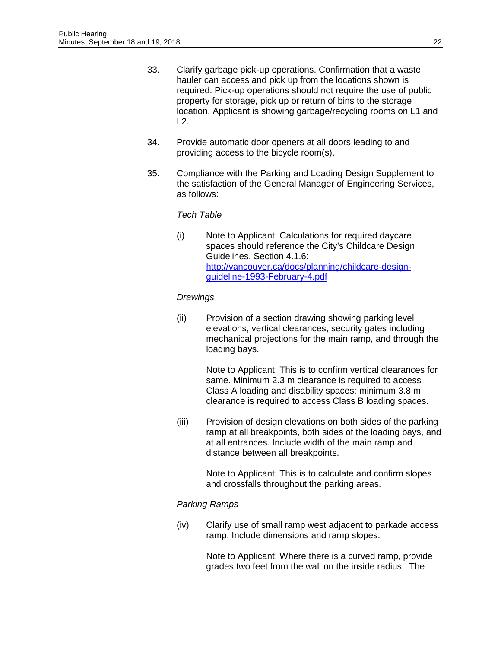- 33. Clarify garbage pick-up operations. Confirmation that a waste hauler can access and pick up from the locations shown is required. Pick-up operations should not require the use of public property for storage, pick up or return of bins to the storage location. Applicant is showing garbage/recycling rooms on L1 and  $L2$ .
- 34. Provide automatic door openers at all doors leading to and providing access to the bicycle room(s).
- 35. Compliance with the Parking and Loading Design Supplement to the satisfaction of the General Manager of Engineering Services, as follows:

# *Tech Table*

(i) Note to Applicant: Calculations for required daycare spaces should reference the City's Childcare Design Guidelines, Section 4.1.6: [http://vancouver.ca/docs/planning/childcare-design](http://vancouver.ca/docs/planning/childcare-design-guideline-1993-February-4.pdf)[guideline-1993-February-4.pdf](http://vancouver.ca/docs/planning/childcare-design-guideline-1993-February-4.pdf) 

# *Drawings*

(ii) Provision of a section drawing showing parking level elevations, vertical clearances, security gates including mechanical projections for the main ramp, and through the loading bays.

> Note to Applicant: This is to confirm vertical clearances for same. Minimum 2.3 m clearance is required to access Class A loading and disability spaces; minimum 3.8 m clearance is required to access Class B loading spaces.

(iii) Provision of design elevations on both sides of the parking ramp at all breakpoints, both sides of the loading bays, and at all entrances. Include width of the main ramp and distance between all breakpoints.

> Note to Applicant: This is to calculate and confirm slopes and crossfalls throughout the parking areas.

# *Parking Ramps*

(iv) Clarify use of small ramp west adjacent to parkade access ramp. Include dimensions and ramp slopes.

> Note to Applicant: Where there is a curved ramp, provide grades two feet from the wall on the inside radius. The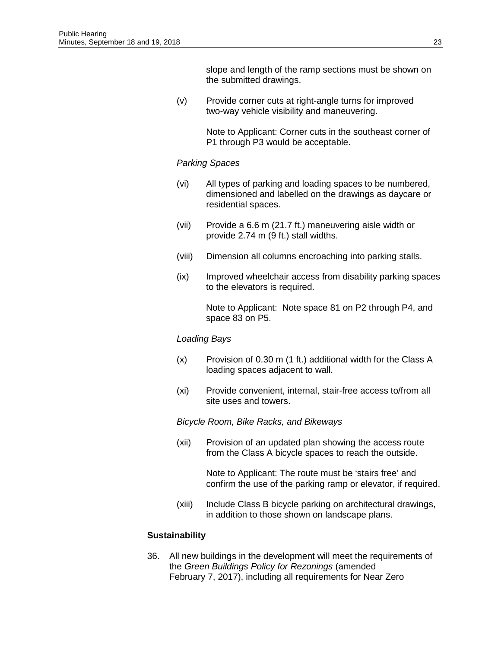slope and length of the ramp sections must be shown on the submitted drawings.

(v) Provide corner cuts at right-angle turns for improved two-way vehicle visibility and maneuvering.

> Note to Applicant: Corner cuts in the southeast corner of P1 through P3 would be acceptable.

#### *Parking Spaces*

- (vi) All types of parking and loading spaces to be numbered, dimensioned and labelled on the drawings as daycare or residential spaces.
- (vii) Provide a 6.6 m (21.7 ft.) maneuvering aisle width or provide 2.74 m (9 ft.) stall widths.
- (viii) Dimension all columns encroaching into parking stalls.
- (ix) Improved wheelchair access from disability parking spaces to the elevators is required.

Note to Applicant: Note space 81 on P2 through P4, and space 83 on P5.

#### *Loading Bays*

- (x) Provision of 0.30 m (1 ft.) additional width for the Class A loading spaces adjacent to wall.
- (xi) Provide convenient, internal, stair-free access to/from all site uses and towers.

#### *Bicycle Room, Bike Racks, and Bikeways*

(xii) Provision of an updated plan showing the access route from the Class A bicycle spaces to reach the outside.

> Note to Applicant: The route must be 'stairs free' and confirm the use of the parking ramp or elevator, if required.

(xiii) Include Class B bicycle parking on architectural drawings, in addition to those shown on landscape plans.

#### **Sustainability**

36. All new buildings in the development will meet the requirements of the *Green Buildings Policy for Rezonings* (amended February 7, 2017), including all requirements for Near Zero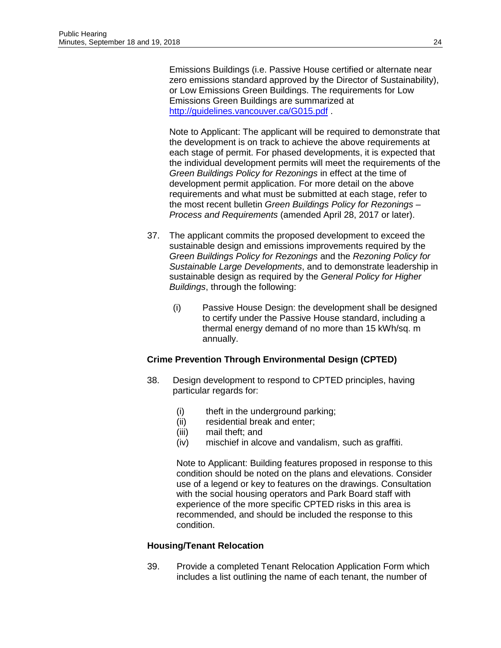Emissions Buildings (i.e. Passive House certified or alternate near zero emissions standard approved by the Director of Sustainability), or Low Emissions Green Buildings. The requirements for Low Emissions Green Buildings are summarized at <http://guidelines.vancouver.ca/G015.pdf>.

Note to Applicant: The applicant will be required to demonstrate that the development is on track to achieve the above requirements at each stage of permit. For phased developments, it is expected that the individual development permits will meet the requirements of the *Green Buildings Policy for Rezonings* in effect at the time of development permit application. For more detail on the above requirements and what must be submitted at each stage, refer to the most recent bulletin *Green Buildings Policy for Rezonings – Process and Requirements* (amended April 28, 2017 or later).

- 37. The applicant commits the proposed development to exceed the sustainable design and emissions improvements required by the *Green Buildings Policy for Rezonings* and the *Rezoning Policy for Sustainable Large Developments*, and to demonstrate leadership in sustainable design as required by the *General Policy for Higher Buildings*, through the following:
	- (i) Passive House Design: the development shall be designed to certify under the Passive House standard, including a thermal energy demand of no more than 15 kWh/sq. m annually.

# **Crime Prevention Through Environmental Design (CPTED)**

- 38. Design development to respond to CPTED principles, having particular regards for:
	- (i) theft in the underground parking;
	- (ii) residential break and enter;
	- (iii) mail theft; and
	- (iv) mischief in alcove and vandalism, such as graffiti.

Note to Applicant: Building features proposed in response to this condition should be noted on the plans and elevations. Consider use of a legend or key to features on the drawings. Consultation with the social housing operators and Park Board staff with experience of the more specific CPTED risks in this area is recommended, and should be included the response to this condition.

# **Housing/Tenant Relocation**

39. Provide a completed Tenant Relocation Application Form which includes a list outlining the name of each tenant, the number of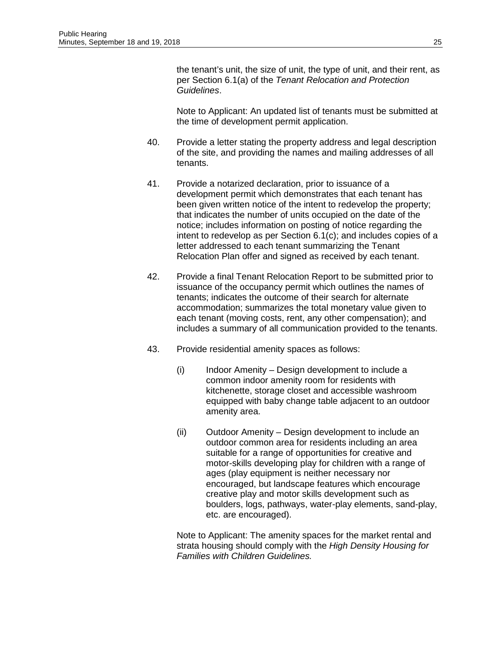the tenant's unit, the size of unit, the type of unit, and their rent, as per Section 6.1(a) of the *Tenant Relocation and Protection Guidelines*.

Note to Applicant: An updated list of tenants must be submitted at the time of development permit application.

- 40. Provide a letter stating the property address and legal description of the site, and providing the names and mailing addresses of all tenants.
- 41. Provide a notarized declaration, prior to issuance of a development permit which demonstrates that each tenant has been given written notice of the intent to redevelop the property; that indicates the number of units occupied on the date of the notice; includes information on posting of notice regarding the intent to redevelop as per Section 6.1(c); and includes copies of a letter addressed to each tenant summarizing the Tenant Relocation Plan offer and signed as received by each tenant.
- 42. Provide a final Tenant Relocation Report to be submitted prior to issuance of the occupancy permit which outlines the names of tenants; indicates the outcome of their search for alternate accommodation; summarizes the total monetary value given to each tenant (moving costs, rent, any other compensation); and includes a summary of all communication provided to the tenants.
- 43. Provide residential amenity spaces as follows:
	- (i) Indoor Amenity Design development to include a common indoor amenity room for residents with kitchenette, storage closet and accessible washroom equipped with baby change table adjacent to an outdoor amenity area.
	- (ii) Outdoor Amenity Design development to include an outdoor common area for residents including an area suitable for a range of opportunities for creative and motor-skills developing play for children with a range of ages (play equipment is neither necessary nor encouraged, but landscape features which encourage creative play and motor skills development such as boulders, logs, pathways, water-play elements, sand-play, etc. are encouraged).

Note to Applicant: The amenity spaces for the market rental and strata housing should comply with the *High Density Housing for Families with Children Guidelines.*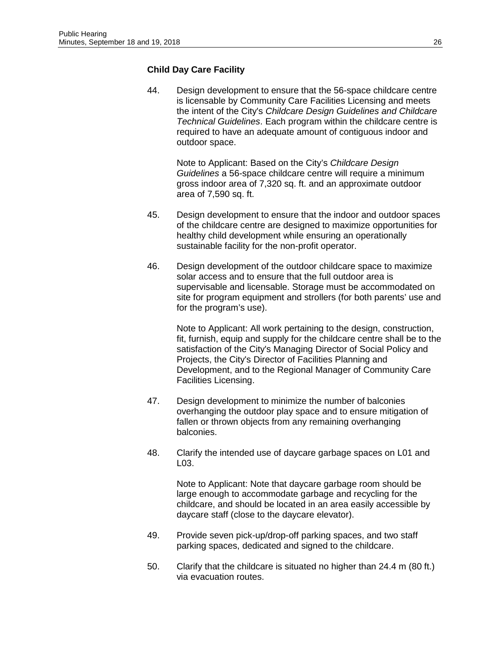# **Child Day Care Facility**

44. Design development to ensure that the 56-space childcare centre is licensable by Community Care Facilities Licensing and meets the intent of the City's *Childcare Design Guidelines and Childcare Technical Guidelines*. Each program within the childcare centre is required to have an adequate amount of contiguous indoor and outdoor space.

Note to Applicant: Based on the City's *Childcare Design Guidelines* a 56-space childcare centre will require a minimum gross indoor area of 7,320 sq. ft. and an approximate outdoor area of 7,590 sq. ft.

- 45. Design development to ensure that the indoor and outdoor spaces of the childcare centre are designed to maximize opportunities for healthy child development while ensuring an operationally sustainable facility for the non-profit operator.
- 46. Design development of the outdoor childcare space to maximize solar access and to ensure that the full outdoor area is supervisable and licensable. Storage must be accommodated on site for program equipment and strollers (for both parents' use and for the program's use).

Note to Applicant: All work pertaining to the design, construction, fit, furnish, equip and supply for the childcare centre shall be to the satisfaction of the City's Managing Director of Social Policy and Projects, the City's Director of Facilities Planning and Development, and to the Regional Manager of Community Care Facilities Licensing.

- 47. Design development to minimize the number of balconies overhanging the outdoor play space and to ensure mitigation of fallen or thrown objects from any remaining overhanging balconies.
- 48. Clarify the intended use of daycare garbage spaces on L01 and L03.

Note to Applicant: Note that daycare garbage room should be large enough to accommodate garbage and recycling for the childcare, and should be located in an area easily accessible by daycare staff (close to the daycare elevator).

- 49. Provide seven pick-up/drop-off parking spaces, and two staff parking spaces, dedicated and signed to the childcare.
- 50. Clarify that the childcare is situated no higher than 24.4 m (80 ft.) via evacuation routes.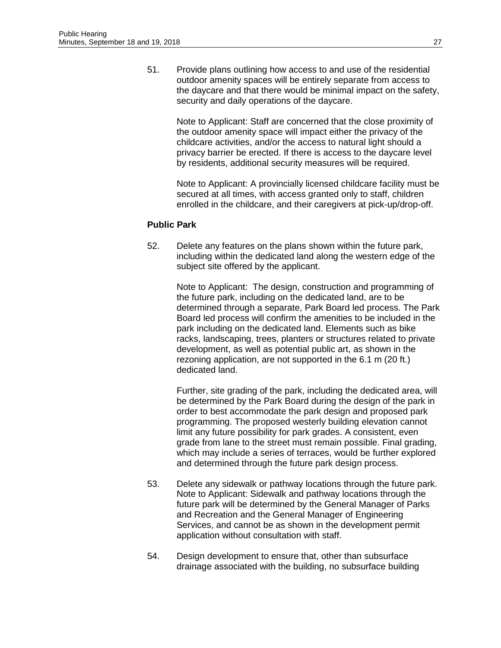51. Provide plans outlining how access to and use of the residential outdoor amenity spaces will be entirely separate from access to the daycare and that there would be minimal impact on the safety, security and daily operations of the daycare.

Note to Applicant: Staff are concerned that the close proximity of the outdoor amenity space will impact either the privacy of the childcare activities, and/or the access to natural light should a privacy barrier be erected. If there is access to the daycare level by residents, additional security measures will be required.

Note to Applicant: A provincially licensed childcare facility must be secured at all times, with access granted only to staff, children enrolled in the childcare, and their caregivers at pick-up/drop-off.

#### **Public Park**

52. Delete any features on the plans shown within the future park, including within the dedicated land along the western edge of the subject site offered by the applicant.

> Note to Applicant: The design, construction and programming of the future park, including on the dedicated land, are to be determined through a separate, Park Board led process. The Park Board led process will confirm the amenities to be included in the park including on the dedicated land. Elements such as bike racks, landscaping, trees, planters or structures related to private development, as well as potential public art, as shown in the rezoning application, are not supported in the 6.1 m (20 ft.) dedicated land.

Further, site grading of the park, including the dedicated area, will be determined by the Park Board during the design of the park in order to best accommodate the park design and proposed park programming. The proposed westerly building elevation cannot limit any future possibility for park grades. A consistent, even grade from lane to the street must remain possible. Final grading, which may include a series of terraces, would be further explored and determined through the future park design process.

- 53. Delete any sidewalk or pathway locations through the future park. Note to Applicant: Sidewalk and pathway locations through the future park will be determined by the General Manager of Parks and Recreation and the General Manager of Engineering Services, and cannot be as shown in the development permit application without consultation with staff.
- 54. Design development to ensure that, other than subsurface drainage associated with the building, no subsurface building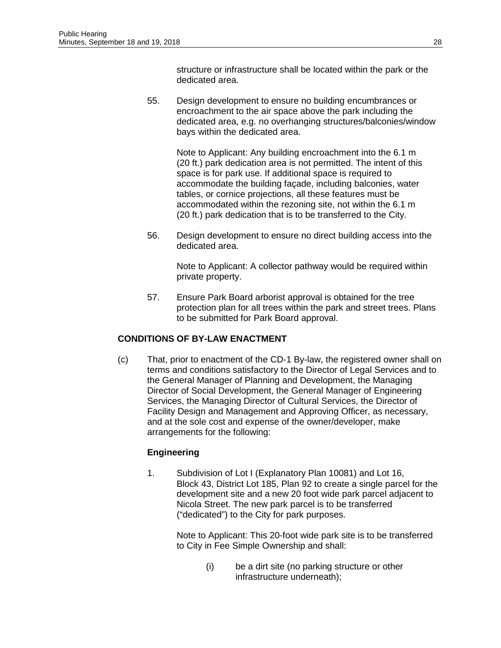structure or infrastructure shall be located within the park or the dedicated area.

55. Design development to ensure no building encumbrances or encroachment to the air space above the park including the dedicated area, e.g. no overhanging structures/balconies/window bays within the dedicated area.

> Note to Applicant: Any building encroachment into the 6.1 m (20 ft.) park dedication area is not permitted. The intent of this space is for park use. If additional space is required to accommodate the building façade, including balconies, water tables, or cornice projections, all these features must be accommodated within the rezoning site, not within the 6.1 m (20 ft.) park dedication that is to be transferred to the City.

56. Design development to ensure no direct building access into the dedicated area.

> Note to Applicant: A collector pathway would be required within private property.

57. Ensure Park Board arborist approval is obtained for the tree protection plan for all trees within the park and street trees. Plans to be submitted for Park Board approval.

# **CONDITIONS OF BY-LAW ENACTMENT**

(c) That, prior to enactment of the CD-1 By-law, the registered owner shall on terms and conditions satisfactory to the Director of Legal Services and to the General Manager of Planning and Development, the Managing Director of Social Development, the General Manager of Engineering Services, the Managing Director of Cultural Services, the Director of Facility Design and Management and Approving Officer, as necessary, and at the sole cost and expense of the owner/developer, make arrangements for the following:

# **Engineering**

1. Subdivision of Lot I (Explanatory Plan 10081) and Lot 16, Block 43, District Lot 185, Plan 92 to create a single parcel for the development site and a new 20 foot wide park parcel adjacent to Nicola Street. The new park parcel is to be transferred ("dedicated") to the City for park purposes.

Note to Applicant: This 20-foot wide park site is to be transferred to City in Fee Simple Ownership and shall:

> (i) be a dirt site (no parking structure or other infrastructure underneath);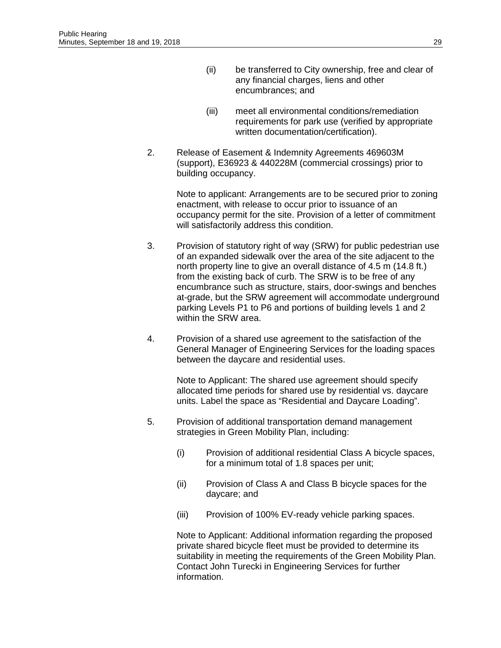- (ii) be transferred to City ownership, free and clear of any financial charges, liens and other encumbrances; and
- (iii) meet all environmental conditions/remediation requirements for park use (verified by appropriate written documentation/certification).
- 2. Release of Easement & Indemnity Agreements 469603M (support), E36923 & 440228M (commercial crossings) prior to building occupancy.

Note to applicant: Arrangements are to be secured prior to zoning enactment, with release to occur prior to issuance of an occupancy permit for the site. Provision of a letter of commitment will satisfactorily address this condition.

- 3. Provision of statutory right of way (SRW) for public pedestrian use of an expanded sidewalk over the area of the site adjacent to the north property line to give an overall distance of 4.5 m (14.8 ft.) from the existing back of curb. The SRW is to be free of any encumbrance such as structure, stairs, door-swings and benches at-grade, but the SRW agreement will accommodate underground parking Levels P1 to P6 and portions of building levels 1 and 2 within the SRW area.
- 4. Provision of a shared use agreement to the satisfaction of the General Manager of Engineering Services for the loading spaces between the daycare and residential uses.

Note to Applicant: The shared use agreement should specify allocated time periods for shared use by residential vs. daycare units. Label the space as "Residential and Daycare Loading".

- 5. Provision of additional transportation demand management strategies in Green Mobility Plan, including:
	- (i) Provision of additional residential Class A bicycle spaces, for a minimum total of 1.8 spaces per unit;
	- (ii) Provision of Class A and Class B bicycle spaces for the daycare; and
	- (iii) Provision of 100% EV-ready vehicle parking spaces.

Note to Applicant: Additional information regarding the proposed private shared bicycle fleet must be provided to determine its suitability in meeting the requirements of the Green Mobility Plan. Contact John Turecki in Engineering Services for further information.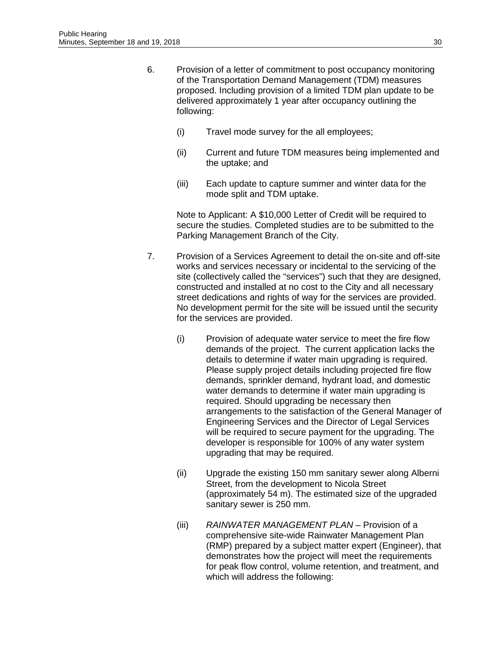- 6. Provision of a letter of commitment to post occupancy monitoring of the Transportation Demand Management (TDM) measures proposed. Including provision of a limited TDM plan update to be delivered approximately 1 year after occupancy outlining the following:
	- (i) Travel mode survey for the all employees;
	- (ii) Current and future TDM measures being implemented and the uptake; and
	- (iii) Each update to capture summer and winter data for the mode split and TDM uptake.

Note to Applicant: A \$10,000 Letter of Credit will be required to secure the studies. Completed studies are to be submitted to the Parking Management Branch of the City.

- 7. Provision of a Services Agreement to detail the on-site and off-site works and services necessary or incidental to the servicing of the site (collectively called the "services") such that they are designed, constructed and installed at no cost to the City and all necessary street dedications and rights of way for the services are provided. No development permit for the site will be issued until the security for the services are provided.
	- (i) Provision of adequate water service to meet the fire flow demands of the project. The current application lacks the details to determine if water main upgrading is required. Please supply project details including projected fire flow demands, sprinkler demand, hydrant load, and domestic water demands to determine if water main upgrading is required. Should upgrading be necessary then arrangements to the satisfaction of the General Manager of Engineering Services and the Director of Legal Services will be required to secure payment for the upgrading. The developer is responsible for 100% of any water system upgrading that may be required.
	- (ii) Upgrade the existing 150 mm sanitary sewer along Alberni Street, from the development to Nicola Street (approximately 54 m). The estimated size of the upgraded sanitary sewer is 250 mm.
	- (iii) *RAINWATER MANAGEMENT PLAN* Provision of a comprehensive site-wide Rainwater Management Plan (RMP) prepared by a subject matter expert (Engineer), that demonstrates how the project will meet the requirements for peak flow control, volume retention, and treatment, and which will address the following: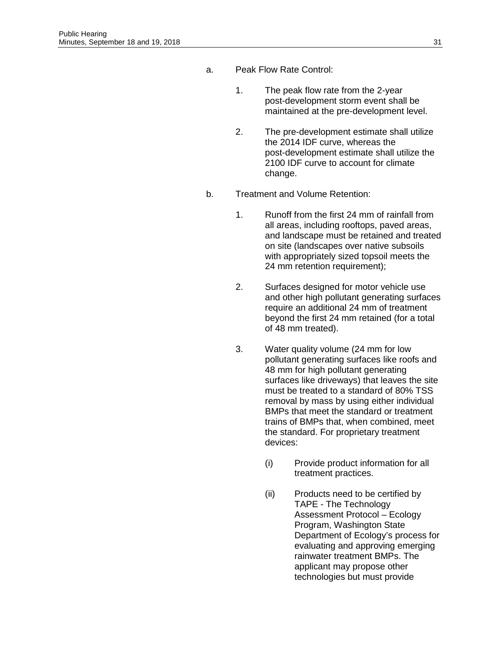- a. Peak Flow Rate Control:
	- 1. The peak flow rate from the 2-year post-development storm event shall be maintained at the pre-development level.
	- 2. The pre-development estimate shall utilize the 2014 IDF curve, whereas the post-development estimate shall utilize the 2100 IDF curve to account for climate change.
- b. Treatment and Volume Retention:
	- 1. Runoff from the first 24 mm of rainfall from all areas, including rooftops, paved areas, and landscape must be retained and treated on site (landscapes over native subsoils with appropriately sized topsoil meets the 24 mm retention requirement);
	- 2. Surfaces designed for motor vehicle use and other high pollutant generating surfaces require an additional 24 mm of treatment beyond the first 24 mm retained (for a total of 48 mm treated).
	- 3. Water quality volume (24 mm for low pollutant generating surfaces like roofs and 48 mm for high pollutant generating surfaces like driveways) that leaves the site must be treated to a standard of 80% TSS removal by mass by using either individual BMPs that meet the standard or treatment trains of BMPs that, when combined, meet the standard. For proprietary treatment devices:
		- (i) Provide product information for all treatment practices.
		- (ii) Products need to be certified by TAPE - The Technology Assessment Protocol – Ecology Program, Washington State Department of Ecology's process for evaluating and approving emerging rainwater treatment BMPs. The applicant may propose other technologies but must provide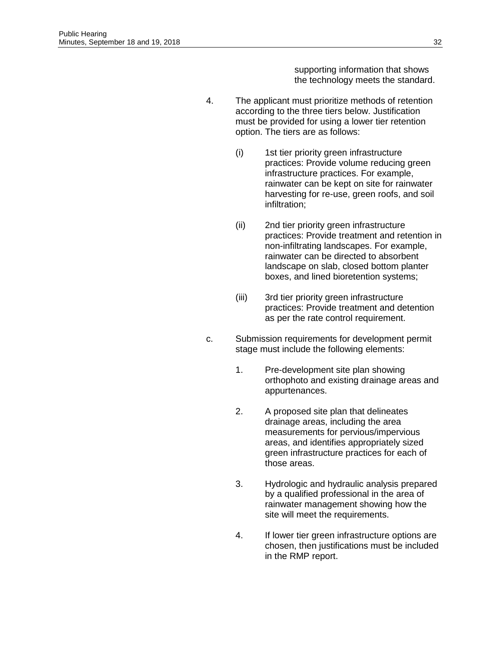supporting information that shows the technology meets the standard.

- 4. The applicant must prioritize methods of retention according to the three tiers below. Justification must be provided for using a lower tier retention option. The tiers are as follows:
	- (i) 1st tier priority green infrastructure practices: Provide volume reducing green infrastructure practices. For example, rainwater can be kept on site for rainwater harvesting for re-use, green roofs, and soil infiltration;
	- (ii) 2nd tier priority green infrastructure practices: Provide treatment and retention in non-infiltrating landscapes. For example, rainwater can be directed to absorbent landscape on slab, closed bottom planter boxes, and lined bioretention systems;
	- (iii) 3rd tier priority green infrastructure practices: Provide treatment and detention as per the rate control requirement.
- c. Submission requirements for development permit stage must include the following elements:
	- 1. Pre-development site plan showing orthophoto and existing drainage areas and appurtenances.
	- 2. A proposed site plan that delineates drainage areas, including the area measurements for pervious/impervious areas, and identifies appropriately sized green infrastructure practices for each of those areas.
	- 3. Hydrologic and hydraulic analysis prepared by a qualified professional in the area of rainwater management showing how the site will meet the requirements.
	- 4. If lower tier green infrastructure options are chosen, then justifications must be included in the RMP report.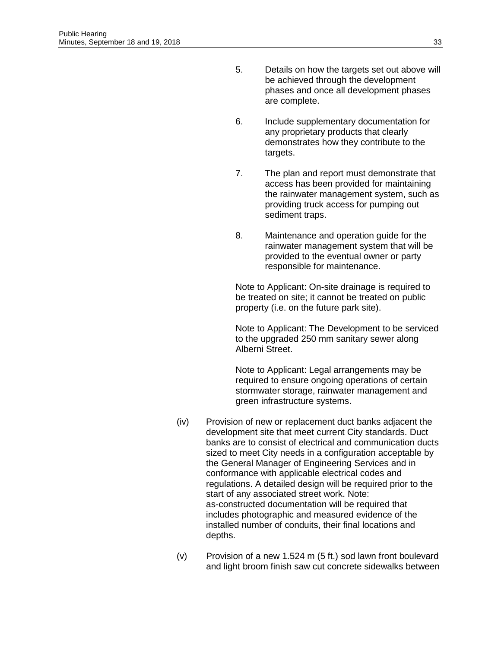- 5. Details on how the targets set out above will be achieved through the development phases and once all development phases are complete.
- 6. Include supplementary documentation for any proprietary products that clearly demonstrates how they contribute to the targets.
- 7. The plan and report must demonstrate that access has been provided for maintaining the rainwater management system, such as providing truck access for pumping out sediment traps.
- 8. Maintenance and operation guide for the rainwater management system that will be provided to the eventual owner or party responsible for maintenance.

Note to Applicant: On-site drainage is required to be treated on site; it cannot be treated on public property (i.e. on the future park site).

Note to Applicant: The Development to be serviced to the upgraded 250 mm sanitary sewer along Alberni Street.

Note to Applicant: Legal arrangements may be required to ensure ongoing operations of certain stormwater storage, rainwater management and green infrastructure systems.

- (iv) Provision of new or replacement duct banks adjacent the development site that meet current City standards. Duct banks are to consist of electrical and communication ducts sized to meet City needs in a configuration acceptable by the General Manager of Engineering Services and in conformance with applicable electrical codes and regulations. A detailed design will be required prior to the start of any associated street work. Note: as-constructed documentation will be required that includes photographic and measured evidence of the installed number of conduits, their final locations and depths.
- (v) Provision of a new 1.524 m (5 ft.) sod lawn front boulevard and light broom finish saw cut concrete sidewalks between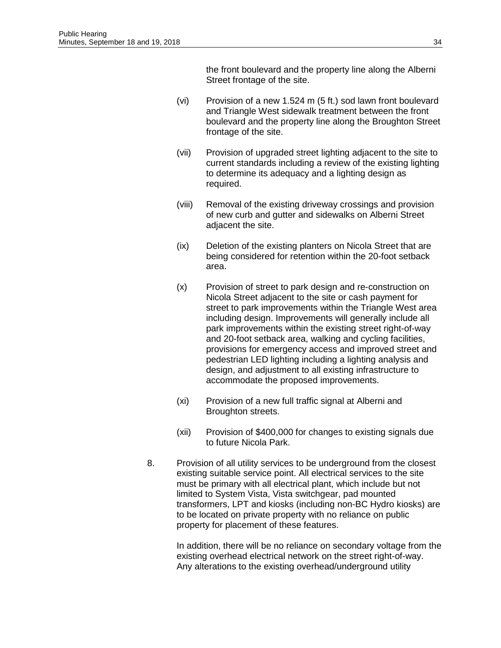the front boulevard and the property line along the Alberni Street frontage of the site.

- (vi) Provision of a new 1.524 m (5 ft.) sod lawn front boulevard and Triangle West sidewalk treatment between the front boulevard and the property line along the Broughton Street frontage of the site.
- (vii) Provision of upgraded street lighting adjacent to the site to current standards including a review of the existing lighting to determine its adequacy and a lighting design as required.
- (viii) Removal of the existing driveway crossings and provision of new curb and gutter and sidewalks on Alberni Street adjacent the site.
- (ix) Deletion of the existing planters on Nicola Street that are being considered for retention within the 20-foot setback area.
- (x) Provision of street to park design and re-construction on Nicola Street adjacent to the site or cash payment for street to park improvements within the Triangle West area including design. Improvements will generally include all park improvements within the existing street right-of-way and 20-foot setback area, walking and cycling facilities, provisions for emergency access and improved street and pedestrian LED lighting including a lighting analysis and design, and adjustment to all existing infrastructure to accommodate the proposed improvements.
- (xi) Provision of a new full traffic signal at Alberni and Broughton streets.
- (xii) Provision of \$400,000 for changes to existing signals due to future Nicola Park.
- 8. Provision of all utility services to be underground from the closest existing suitable service point. All electrical services to the site must be primary with all electrical plant, which include but not limited to System Vista, Vista switchgear, pad mounted transformers, LPT and kiosks (including non-BC Hydro kiosks) are to be located on private property with no reliance on public property for placement of these features.

In addition, there will be no reliance on secondary voltage from the existing overhead electrical network on the street right-of-way. Any alterations to the existing overhead/underground utility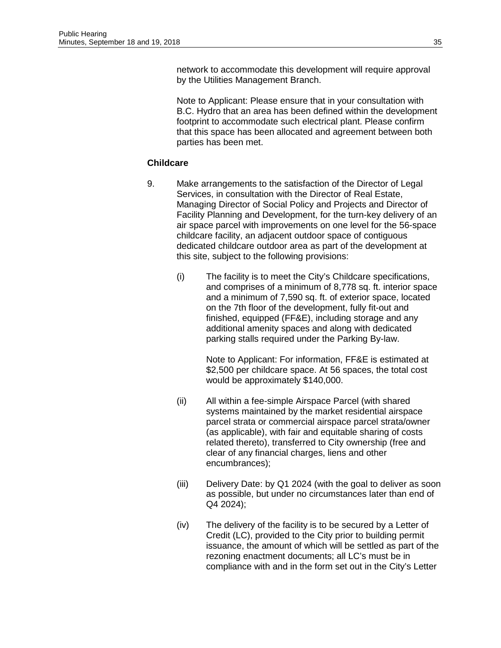network to accommodate this development will require approval by the Utilities Management Branch.

Note to Applicant: Please ensure that in your consultation with B.C. Hydro that an area has been defined within the development footprint to accommodate such electrical plant. Please confirm that this space has been allocated and agreement between both parties has been met.

#### **Childcare**

- 9. Make arrangements to the satisfaction of the Director of Legal Services, in consultation with the Director of Real Estate, Managing Director of Social Policy and Projects and Director of Facility Planning and Development, for the turn-key delivery of an air space parcel with improvements on one level for the 56-space childcare facility, an adjacent outdoor space of contiguous dedicated childcare outdoor area as part of the development at this site, subject to the following provisions:
	- (i) The facility is to meet the City's Childcare specifications, and comprises of a minimum of 8,778 sq. ft. interior space and a minimum of 7,590 sq. ft. of exterior space, located on the 7th floor of the development, fully fit-out and finished, equipped (FF&E), including storage and any additional amenity spaces and along with dedicated parking stalls required under the Parking By-law.

Note to Applicant: For information, FF&E is estimated at \$2,500 per childcare space. At 56 spaces, the total cost would be approximately \$140,000.

- (ii) All within a fee-simple Airspace Parcel (with shared systems maintained by the market residential airspace parcel strata or commercial airspace parcel strata/owner (as applicable), with fair and equitable sharing of costs related thereto), transferred to City ownership (free and clear of any financial charges, liens and other encumbrances);
- (iii) Delivery Date: by Q1 2024 (with the goal to deliver as soon as possible, but under no circumstances later than end of Q4 2024);
- (iv) The delivery of the facility is to be secured by a Letter of Credit (LC), provided to the City prior to building permit issuance, the amount of which will be settled as part of the rezoning enactment documents; all LC's must be in compliance with and in the form set out in the City's Letter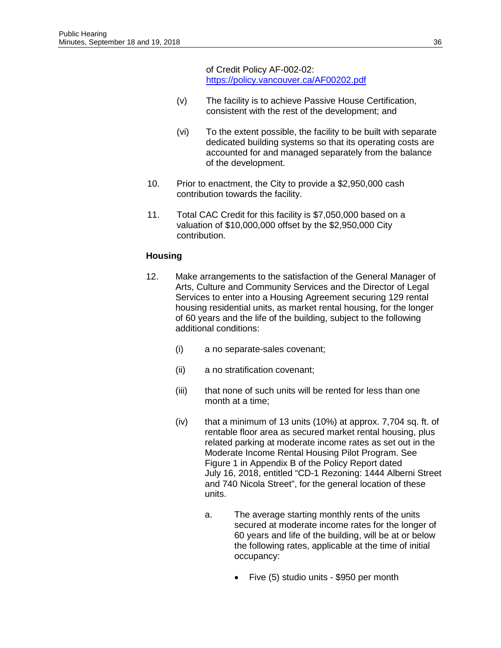of Credit Policy AF-002-02: <https://policy.vancouver.ca/AF00202.pdf>

- (v) The facility is to achieve Passive House Certification, consistent with the rest of the development; and
- (vi) To the extent possible, the facility to be built with separate dedicated building systems so that its operating costs are accounted for and managed separately from the balance of the development.
- 10. Prior to enactment, the City to provide a \$2,950,000 cash contribution towards the facility.
- 11. Total CAC Credit for this facility is \$7,050,000 based on a valuation of \$10,000,000 offset by the \$2,950,000 City contribution.

# **Housing**

- 12. Make arrangements to the satisfaction of the General Manager of Arts, Culture and Community Services and the Director of Legal Services to enter into a Housing Agreement securing 129 rental housing residential units, as market rental housing, for the longer of 60 years and the life of the building, subject to the following additional conditions:
	- (i) a no separate-sales covenant;
	- (ii) a no stratification covenant;
	- (iii) that none of such units will be rented for less than one month at a time;
	- $(iv)$  that a minimum of 13 units (10%) at approx. 7,704 sq. ft. of rentable floor area as secured market rental housing, plus related parking at moderate income rates as set out in the Moderate Income Rental Housing Pilot Program. See Figure 1 in Appendix B of the Policy Report dated July 16, 2018, entitled "CD-1 Rezoning: 1444 Alberni Street and 740 Nicola Street", for the general location of these units.
		- a. The average starting monthly rents of the units secured at moderate income rates for the longer of 60 years and life of the building, will be at or below the following rates, applicable at the time of initial occupancy:
			- Five (5) studio units \$950 per month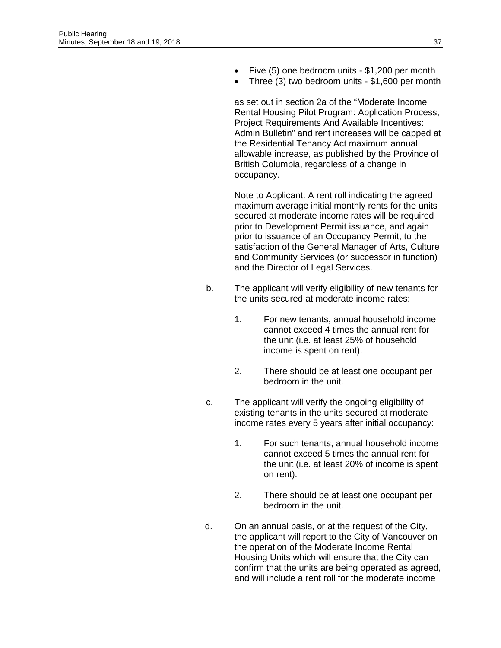- Five (5) one bedroom units \$1,200 per month
- Three (3) two bedroom units \$1,600 per month

as set out in section 2a of the "Moderate Income Rental Housing Pilot Program: Application Process, Project Requirements And Available Incentives: Admin Bulletin" and rent increases will be capped at the Residential Tenancy Act maximum annual allowable increase, as published by the Province of British Columbia, regardless of a change in occupancy.

Note to Applicant: A rent roll indicating the agreed maximum average initial monthly rents for the units secured at moderate income rates will be required prior to Development Permit issuance, and again prior to issuance of an Occupancy Permit, to the satisfaction of the General Manager of Arts, Culture and Community Services (or successor in function) and the Director of Legal Services.

- b. The applicant will verify eligibility of new tenants for the units secured at moderate income rates:
	- 1. For new tenants, annual household income cannot exceed 4 times the annual rent for the unit (i.e. at least 25% of household income is spent on rent).
	- 2. There should be at least one occupant per bedroom in the unit.
- c. The applicant will verify the ongoing eligibility of existing tenants in the units secured at moderate income rates every 5 years after initial occupancy:
	- 1. For such tenants, annual household income cannot exceed 5 times the annual rent for the unit (i.e. at least 20% of income is spent on rent).
	- 2. There should be at least one occupant per bedroom in the unit.
- d. On an annual basis, or at the request of the City, the applicant will report to the City of Vancouver on the operation of the Moderate Income Rental Housing Units which will ensure that the City can confirm that the units are being operated as agreed, and will include a rent roll for the moderate income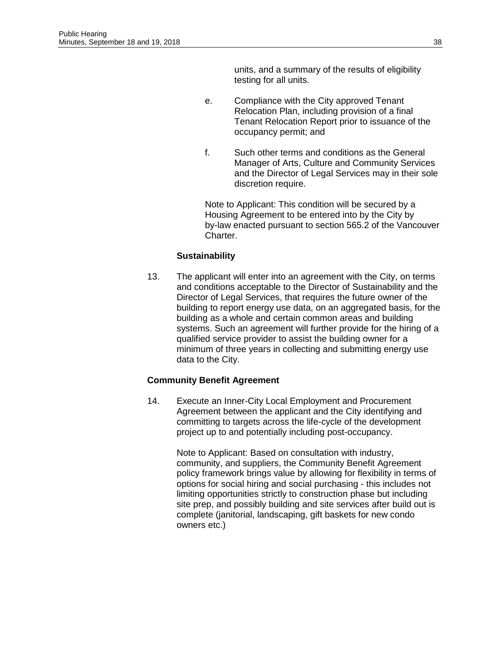units, and a summary of the results of eligibility testing for all units.

- e. Compliance with the City approved Tenant Relocation Plan, including provision of a final Tenant Relocation Report prior to issuance of the occupancy permit; and
- f. Such other terms and conditions as the General Manager of Arts, Culture and Community Services and the Director of Legal Services may in their sole discretion require.

Note to Applicant: This condition will be secured by a Housing Agreement to be entered into by the City by by-law enacted pursuant to section 565.2 of the Vancouver Charter.

# **Sustainability**

13. The applicant will enter into an agreement with the City, on terms and conditions acceptable to the Director of Sustainability and the Director of Legal Services, that requires the future owner of the building to report energy use data, on an aggregated basis, for the building as a whole and certain common areas and building systems. Such an agreement will further provide for the hiring of a qualified service provider to assist the building owner for a minimum of three years in collecting and submitting energy use data to the City.

#### **Community Benefit Agreement**

14. Execute an Inner-City Local Employment and Procurement Agreement between the applicant and the City identifying and committing to targets across the life-cycle of the development project up to and potentially including post-occupancy.

> Note to Applicant: Based on consultation with industry, community, and suppliers, the Community Benefit Agreement policy framework brings value by allowing for flexibility in terms of options for social hiring and social purchasing - this includes not limiting opportunities strictly to construction phase but including site prep, and possibly building and site services after build out is complete (janitorial, landscaping, gift baskets for new condo owners etc.)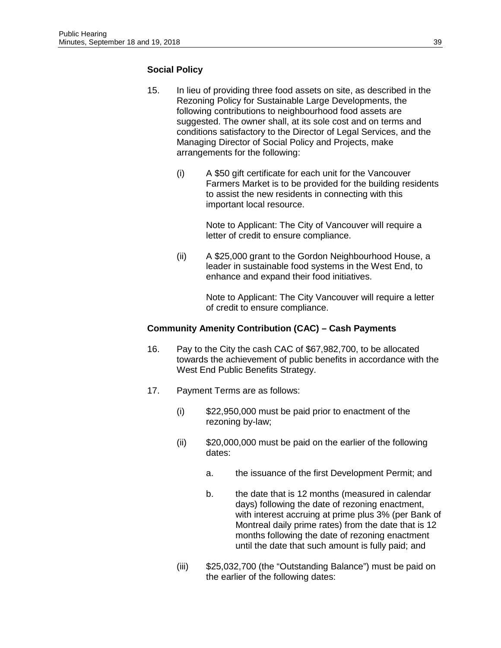# **Social Policy**

- 15. In lieu of providing three food assets on site, as described in the Rezoning Policy for Sustainable Large Developments, the following contributions to neighbourhood food assets are suggested. The owner shall, at its sole cost and on terms and conditions satisfactory to the Director of Legal Services, and the Managing Director of Social Policy and Projects, make arrangements for the following:
	- (i) A \$50 gift certificate for each unit for the Vancouver Farmers Market is to be provided for the building residents to assist the new residents in connecting with this important local resource.

Note to Applicant: The City of Vancouver will require a letter of credit to ensure compliance.

(ii) A \$25,000 grant to the Gordon Neighbourhood House, a leader in sustainable food systems in the West End, to enhance and expand their food initiatives.

> Note to Applicant: The City Vancouver will require a letter of credit to ensure compliance.

#### **Community Amenity Contribution (CAC) – Cash Payments**

- 16. Pay to the City the cash CAC of \$67,982,700, to be allocated towards the achievement of public benefits in accordance with the West End Public Benefits Strategy.
- 17. Payment Terms are as follows:
	- (i) \$22,950,000 must be paid prior to enactment of the rezoning by-law;
	- (ii) \$20,000,000 must be paid on the earlier of the following dates:
		- a. the issuance of the first Development Permit; and
		- b. the date that is 12 months (measured in calendar days) following the date of rezoning enactment, with interest accruing at prime plus 3% (per Bank of Montreal daily prime rates) from the date that is 12 months following the date of rezoning enactment until the date that such amount is fully paid; and
	- (iii) \$25,032,700 (the "Outstanding Balance") must be paid on the earlier of the following dates: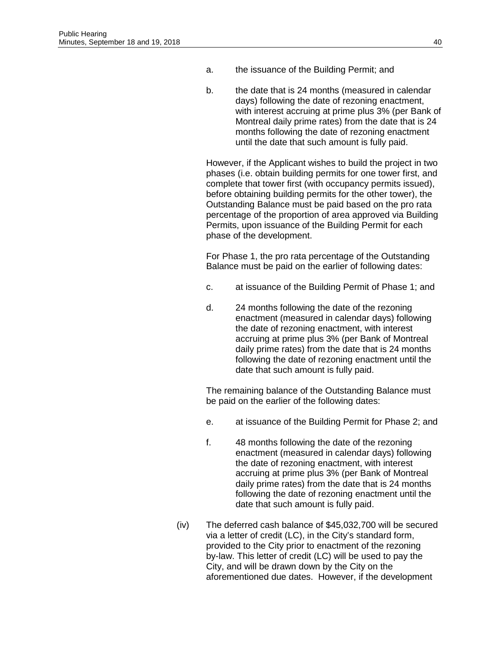- a. the issuance of the Building Permit; and
- b. the date that is 24 months (measured in calendar days) following the date of rezoning enactment, with interest accruing at prime plus 3% (per Bank of Montreal daily prime rates) from the date that is 24 months following the date of rezoning enactment until the date that such amount is fully paid.

However, if the Applicant wishes to build the project in two phases (i.e. obtain building permits for one tower first, and complete that tower first (with occupancy permits issued), before obtaining building permits for the other tower), the Outstanding Balance must be paid based on the pro rata percentage of the proportion of area approved via Building Permits, upon issuance of the Building Permit for each phase of the development.

For Phase 1, the pro rata percentage of the Outstanding Balance must be paid on the earlier of following dates:

- c. at issuance of the Building Permit of Phase 1; and
- d. 24 months following the date of the rezoning enactment (measured in calendar days) following the date of rezoning enactment, with interest accruing at prime plus 3% (per Bank of Montreal daily prime rates) from the date that is 24 months following the date of rezoning enactment until the date that such amount is fully paid.

The remaining balance of the Outstanding Balance must be paid on the earlier of the following dates:

- e. at issuance of the Building Permit for Phase 2; and
- f. 48 months following the date of the rezoning enactment (measured in calendar days) following the date of rezoning enactment, with interest accruing at prime plus 3% (per Bank of Montreal daily prime rates) from the date that is 24 months following the date of rezoning enactment until the date that such amount is fully paid.
- (iv) The deferred cash balance of \$45,032,700 will be secured via a letter of credit (LC), in the City's standard form, provided to the City prior to enactment of the rezoning by-law. This letter of credit (LC) will be used to pay the City, and will be drawn down by the City on the aforementioned due dates. However, if the development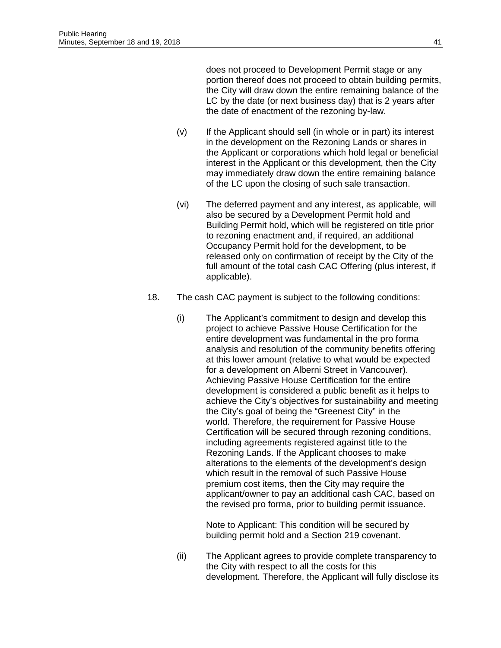does not proceed to Development Permit stage or any portion thereof does not proceed to obtain building permits, the City will draw down the entire remaining balance of the LC by the date (or next business day) that is 2 years after the date of enactment of the rezoning by-law.

- (v) If the Applicant should sell (in whole or in part) its interest in the development on the Rezoning Lands or shares in the Applicant or corporations which hold legal or beneficial interest in the Applicant or this development, then the City may immediately draw down the entire remaining balance of the LC upon the closing of such sale transaction.
- (vi) The deferred payment and any interest, as applicable, will also be secured by a Development Permit hold and Building Permit hold, which will be registered on title prior to rezoning enactment and, if required, an additional Occupancy Permit hold for the development, to be released only on confirmation of receipt by the City of the full amount of the total cash CAC Offering (plus interest, if applicable).
- 18. The cash CAC payment is subject to the following conditions:
	- (i) The Applicant's commitment to design and develop this project to achieve Passive House Certification for the entire development was fundamental in the pro forma analysis and resolution of the community benefits offering at this lower amount (relative to what would be expected for a development on Alberni Street in Vancouver). Achieving Passive House Certification for the entire development is considered a public benefit as it helps to achieve the City's objectives for sustainability and meeting the City's goal of being the "Greenest City" in the world. Therefore, the requirement for Passive House Certification will be secured through rezoning conditions, including agreements registered against title to the Rezoning Lands. If the Applicant chooses to make alterations to the elements of the development's design which result in the removal of such Passive House premium cost items, then the City may require the applicant/owner to pay an additional cash CAC, based on the revised pro forma, prior to building permit issuance.

Note to Applicant: This condition will be secured by building permit hold and a Section 219 covenant.

(ii) The Applicant agrees to provide complete transparency to the City with respect to all the costs for this development. Therefore, the Applicant will fully disclose its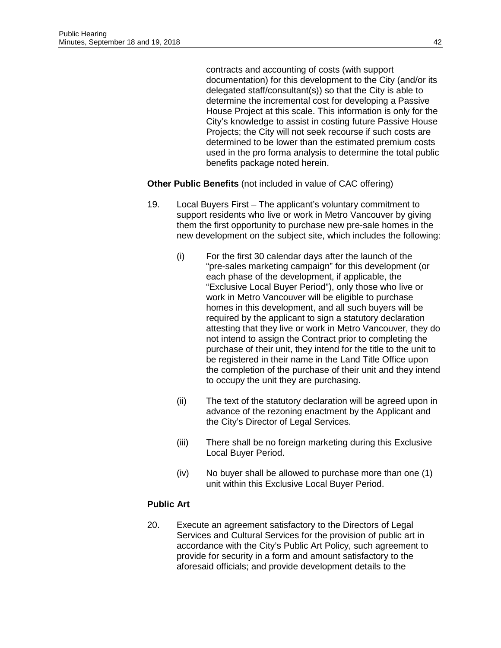contracts and accounting of costs (with support documentation) for this development to the City (and/or its delegated staff/consultant(s)) so that the City is able to determine the incremental cost for developing a Passive House Project at this scale. This information is only for the City's knowledge to assist in costing future Passive House Projects; the City will not seek recourse if such costs are determined to be lower than the estimated premium costs used in the pro forma analysis to determine the total public benefits package noted herein.

**Other Public Benefits** (not included in value of CAC offering)

- 19. Local Buyers First The applicant's voluntary commitment to support residents who live or work in Metro Vancouver by giving them the first opportunity to purchase new pre-sale homes in the new development on the subject site, which includes the following:
	- (i) For the first 30 calendar days after the launch of the "pre-sales marketing campaign" for this development (or each phase of the development, if applicable, the "Exclusive Local Buyer Period"), only those who live or work in Metro Vancouver will be eligible to purchase homes in this development, and all such buyers will be required by the applicant to sign a statutory declaration attesting that they live or work in Metro Vancouver, they do not intend to assign the Contract prior to completing the purchase of their unit, they intend for the title to the unit to be registered in their name in the Land Title Office upon the completion of the purchase of their unit and they intend to occupy the unit they are purchasing.
	- (ii) The text of the statutory declaration will be agreed upon in advance of the rezoning enactment by the Applicant and the City's Director of Legal Services.
	- (iii) There shall be no foreign marketing during this Exclusive Local Buyer Period.
	- (iv) No buyer shall be allowed to purchase more than one (1) unit within this Exclusive Local Buyer Period.

# **Public Art**

20. Execute an agreement satisfactory to the Directors of Legal Services and Cultural Services for the provision of public art in accordance with the City's Public Art Policy, such agreement to provide for security in a form and amount satisfactory to the aforesaid officials; and provide development details to the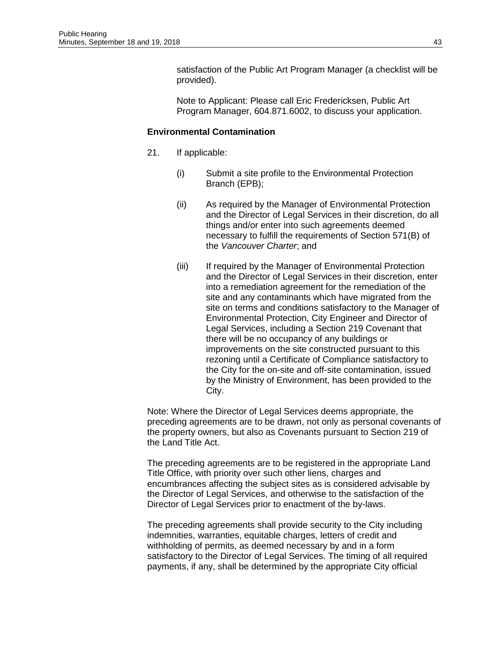satisfaction of the Public Art Program Manager (a checklist will be provided).

Note to Applicant: Please call Eric Fredericksen, Public Art Program Manager, 604.871.6002, to discuss your application.

# **Environmental Contamination**

- 21. If applicable:
	- (i) Submit a site profile to the Environmental Protection Branch (EPB);
	- (ii) As required by the Manager of Environmental Protection and the Director of Legal Services in their discretion, do all things and/or enter into such agreements deemed necessary to fulfill the requirements of Section 571(B) of the *Vancouver Charter*; and
	- (iii) If required by the Manager of Environmental Protection and the Director of Legal Services in their discretion, enter into a remediation agreement for the remediation of the site and any contaminants which have migrated from the site on terms and conditions satisfactory to the Manager of Environmental Protection, City Engineer and Director of Legal Services, including a Section 219 Covenant that there will be no occupancy of any buildings or improvements on the site constructed pursuant to this rezoning until a Certificate of Compliance satisfactory to the City for the on-site and off-site contamination, issued by the Ministry of Environment, has been provided to the City.

Note: Where the Director of Legal Services deems appropriate, the preceding agreements are to be drawn, not only as personal covenants of the property owners, but also as Covenants pursuant to Section 219 of the Land Title Act.

The preceding agreements are to be registered in the appropriate Land Title Office, with priority over such other liens, charges and encumbrances affecting the subject sites as is considered advisable by the Director of Legal Services, and otherwise to the satisfaction of the Director of Legal Services prior to enactment of the by-laws.

The preceding agreements shall provide security to the City including indemnities, warranties, equitable charges, letters of credit and withholding of permits, as deemed necessary by and in a form satisfactory to the Director of Legal Services. The timing of all required payments, if any, shall be determined by the appropriate City official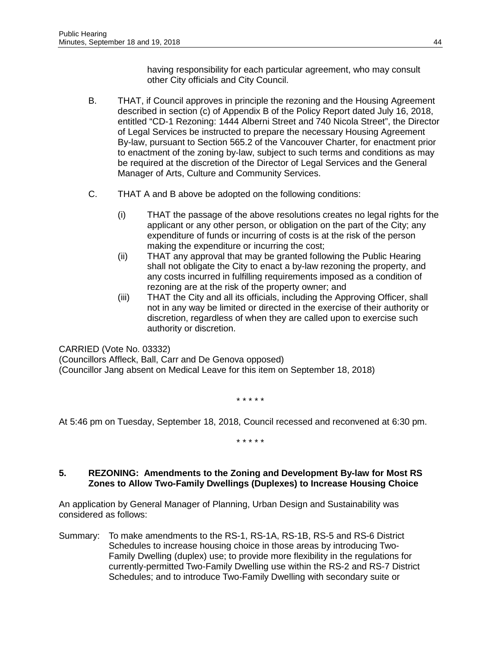having responsibility for each particular agreement, who may consult other City officials and City Council.

- B. THAT, if Council approves in principle the rezoning and the Housing Agreement described in section (c) of Appendix B of the Policy Report dated July 16, 2018, entitled "CD-1 Rezoning: 1444 Alberni Street and 740 Nicola Street", the Director of Legal Services be instructed to prepare the necessary Housing Agreement By-law, pursuant to Section 565.2 of the Vancouver Charter, for enactment prior to enactment of the zoning by-law, subject to such terms and conditions as may be required at the discretion of the Director of Legal Services and the General Manager of Arts, Culture and Community Services.
- C. THAT A and B above be adopted on the following conditions:
	- (i) THAT the passage of the above resolutions creates no legal rights for the applicant or any other person, or obligation on the part of the City; any expenditure of funds or incurring of costs is at the risk of the person making the expenditure or incurring the cost;
	- (ii) THAT any approval that may be granted following the Public Hearing shall not obligate the City to enact a by-law rezoning the property, and any costs incurred in fulfilling requirements imposed as a condition of rezoning are at the risk of the property owner; and
	- (iii) THAT the City and all its officials, including the Approving Officer, shall not in any way be limited or directed in the exercise of their authority or discretion, regardless of when they are called upon to exercise such authority or discretion.

CARRIED (Vote No. 03332)

(Councillors Affleck, Ball, Carr and De Genova opposed) (Councillor Jang absent on Medical Leave for this item on September 18, 2018)

\* \* \* \* \*

At 5:46 pm on Tuesday, September 18, 2018, Council recessed and reconvened at 6:30 pm.

\* \* \* \* \*

# **5. REZONING: Amendments to the Zoning and Development By-law for Most RS Zones to Allow Two-Family Dwellings (Duplexes) to Increase Housing Choice**

An application by General Manager of Planning, Urban Design and Sustainability was considered as follows:

Summary: To make amendments to the RS-1, RS-1A, RS-1B, RS-5 and RS-6 District Schedules to increase housing choice in those areas by introducing Two-Family Dwelling (duplex) use; to provide more flexibility in the regulations for currently-permitted Two-Family Dwelling use within the RS-2 and RS-7 District Schedules; and to introduce Two-Family Dwelling with secondary suite or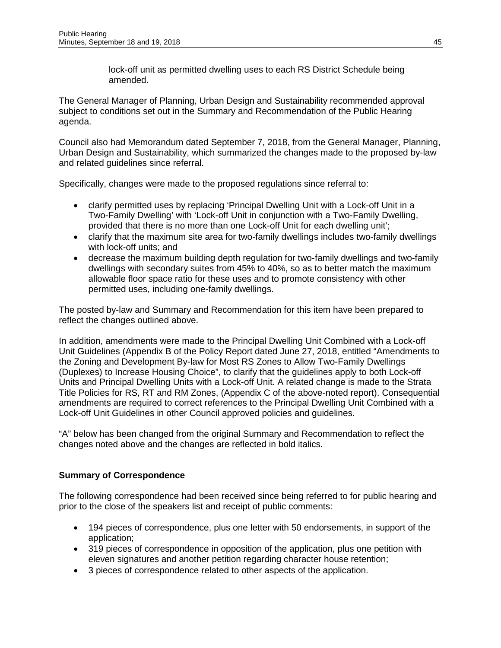lock-off unit as permitted dwelling uses to each RS District Schedule being amended.

The General Manager of Planning, Urban Design and Sustainability recommended approval subject to conditions set out in the Summary and Recommendation of the Public Hearing agenda.

Council also had Memorandum dated September 7, 2018, from the General Manager, Planning, Urban Design and Sustainability, which summarized the changes made to the proposed by-law and related guidelines since referral.

Specifically, changes were made to the proposed regulations since referral to:

- clarify permitted uses by replacing 'Principal Dwelling Unit with a Lock-off Unit in a Two-Family Dwelling' with 'Lock-off Unit in conjunction with a Two-Family Dwelling, provided that there is no more than one Lock-off Unit for each dwelling unit';
- clarify that the maximum site area for two-family dwellings includes two-family dwellings with lock-off units; and
- decrease the maximum building depth regulation for two-family dwellings and two-family dwellings with secondary suites from 45% to 40%, so as to better match the maximum allowable floor space ratio for these uses and to promote consistency with other permitted uses, including one-family dwellings.

The posted by-law and Summary and Recommendation for this item have been prepared to reflect the changes outlined above.

In addition, amendments were made to the Principal Dwelling Unit Combined with a Lock-off Unit Guidelines (Appendix B of the Policy Report dated June 27, 2018, entitled "Amendments to the Zoning and Development By-law for Most RS Zones to Allow Two-Family Dwellings (Duplexes) to Increase Housing Choice", to clarify that the guidelines apply to both Lock-off Units and Principal Dwelling Units with a Lock-off Unit. A related change is made to the Strata Title Policies for RS, RT and RM Zones, (Appendix C of the above-noted report). Consequential amendments are required to correct references to the Principal Dwelling Unit Combined with a Lock-off Unit Guidelines in other Council approved policies and guidelines.

"A" below has been changed from the original Summary and Recommendation to reflect the changes noted above and the changes are reflected in bold italics.

# **Summary of Correspondence**

The following correspondence had been received since being referred to for public hearing and prior to the close of the speakers list and receipt of public comments:

- 194 pieces of correspondence, plus one letter with 50 endorsements, in support of the application;
- 319 pieces of correspondence in opposition of the application, plus one petition with eleven signatures and another petition regarding character house retention;
- 3 pieces of correspondence related to other aspects of the application.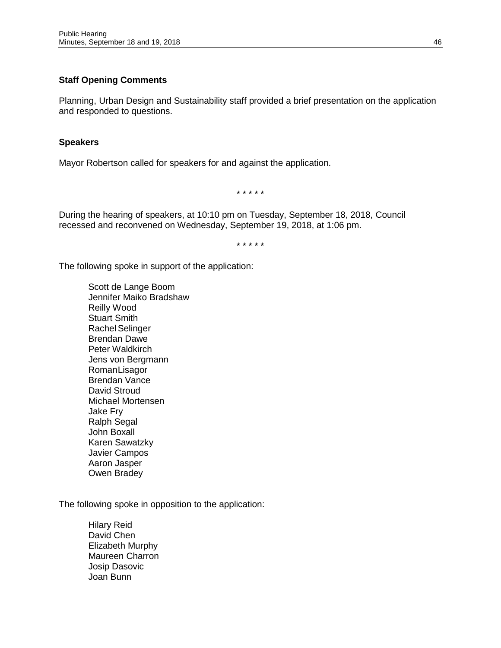# **Staff Opening Comments**

Planning, Urban Design and Sustainability staff provided a brief presentation on the application and responded to questions.

# **Speakers**

Mayor Robertson called for speakers for and against the application.

\* \* \* \* \*

During the hearing of speakers, at 10:10 pm on Tuesday, September 18, 2018, Council recessed and reconvened on Wednesday, September 19, 2018, at 1:06 pm.

\* \* \* \* \*

The following spoke in support of the application:

Scott de Lange Boom Jennifer Maiko Bradshaw Reilly Wood Stuart Smith Rachel Selinger Brendan Dawe Peter Waldkirch Jens von Bergmann RomanLisagor Brendan Vance David Stroud Michael Mortensen Jake Fry Ralph Segal John Boxall Karen Sawatzky Javier Campos Aaron Jasper Owen Bradey

The following spoke in opposition to the application:

Hilary Reid David Chen Elizabeth Murphy Maureen Charron Josip Dasovic Joan Bunn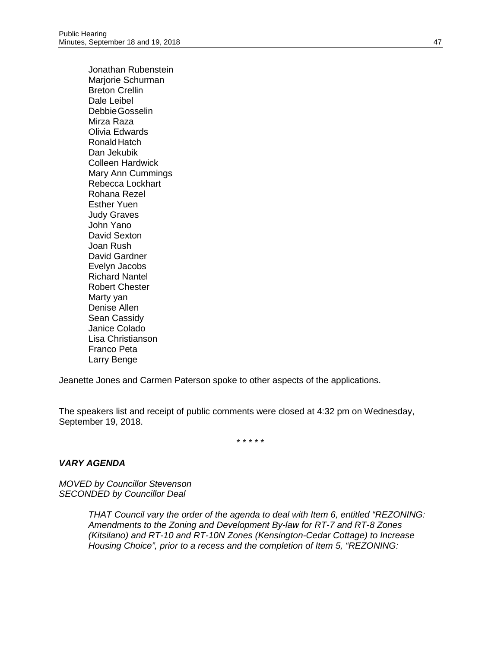Jonathan Rubenstein Mariorie Schurman Breton Crellin Dale Leibel DebbieGosselin Mirza Raza Olivia Edwards RonaldHatch Dan Jekubik Colleen Hardwick Mary Ann Cummings Rebecca Lockhart Rohana Rezel Esther Yuen Judy Graves John Yano David Sexton Joan Rush David Gardner Evelyn Jacobs Richard Nantel Robert Chester Marty yan Denise Allen Sean Cassidy Janice Colado Lisa Christianson Franco Peta Larry Benge

Jeanette Jones and Carmen Paterson spoke to other aspects of the applications.

The speakers list and receipt of public comments were closed at 4:32 pm on Wednesday, September 19, 2018.

\* \* \* \* \*

#### *VARY AGENDA*

*MOVED by Councillor Stevenson SECONDED by Councillor Deal*

> *THAT Council vary the order of the agenda to deal with Item 6, entitled "REZONING: Amendments to the Zoning and Development By-law for RT-7 and RT-8 Zones (Kitsilano) and RT-10 and RT-10N Zones (Kensington-Cedar Cottage) to Increase Housing Choice", prior to a recess and the completion of Item 5, "REZONING:*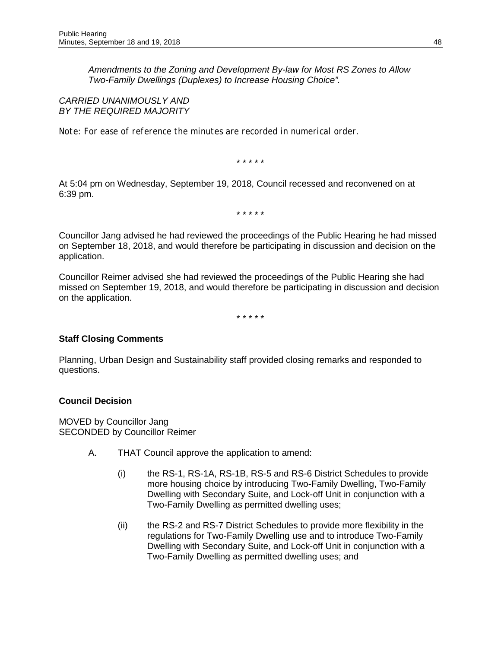*Amendments to the Zoning and Development By-law for Most RS Zones to Allow Two-Family Dwellings (Duplexes) to Increase Housing Choice".* 

*CARRIED UNANIMOUSLY AND BY THE REQUIRED MAJORITY*

*Note: For ease of reference the minutes are recorded in numerical order.*

\* \* \* \* \*

At 5:04 pm on Wednesday, September 19, 2018, Council recessed and reconvened on at 6:39 pm.

\* \* \* \* \*

Councillor Jang advised he had reviewed the proceedings of the Public Hearing he had missed on September 18, 2018, and would therefore be participating in discussion and decision on the application.

Councillor Reimer advised she had reviewed the proceedings of the Public Hearing she had missed on September 19, 2018, and would therefore be participating in discussion and decision on the application.

\* \* \* \* \*

# **Staff Closing Comments**

Planning, Urban Design and Sustainability staff provided closing remarks and responded to questions.

#### **Council Decision**

MOVED by Councillor Jang SECONDED by Councillor Reimer

- A. THAT Council approve the application to amend:
	- (i) the RS-1, RS-1A, RS-1B, RS-5 and RS-6 District Schedules to provide more housing choice by introducing Two-Family Dwelling, Two-Family Dwelling with Secondary Suite, and Lock-off Unit in conjunction with a Two-Family Dwelling as permitted dwelling uses;
	- (ii) the RS-2 and RS-7 District Schedules to provide more flexibility in the regulations for Two-Family Dwelling use and to introduce Two-Family Dwelling with Secondary Suite, and Lock-off Unit in conjunction with a Two-Family Dwelling as permitted dwelling uses; and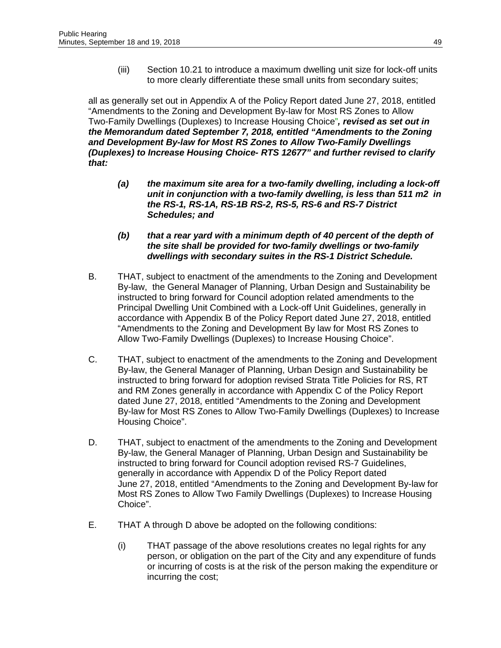(iii) Section 10.21 to introduce a maximum dwelling unit size for lock-off units to more clearly differentiate these small units from secondary suites;

all as generally set out in Appendix A of the Policy Report dated June 27, 2018, entitled "Amendments to the Zoning and Development By-law for Most RS Zones to Allow Two-Family Dwellings (Duplexes) to Increase Housing Choice"*, revised as set out in the Memorandum dated September 7, 2018, entitled "Amendments to the Zoning and Development By-law for Most RS Zones to Allow Two-Family Dwellings (Duplexes) to Increase Housing Choice- RTS 12677" and further revised to clarify that:* 

- *(a) the maximum site area for a two-family dwelling, including a lock-off unit in conjunction with a two-family dwelling, is less than 511 m2 in the RS-1, RS-1A, RS-1B RS-2, RS-5, RS-6 and RS-7 District Schedules; and*
- *(b) that a rear yard with a minimum depth of 40 percent of the depth of the site shall be provided for two-family dwellings or two-family dwellings with secondary suites in the RS-1 District Schedule.*
- B. THAT, subject to enactment of the amendments to the Zoning and Development By-law, the General Manager of Planning, Urban Design and Sustainability be instructed to bring forward for Council adoption related amendments to the Principal Dwelling Unit Combined with a Lock-off Unit Guidelines, generally in accordance with Appendix B of the Policy Report dated June 27, 2018, entitled "Amendments to the Zoning and Development By law for Most RS Zones to Allow Two-Family Dwellings (Duplexes) to Increase Housing Choice".
- C. THAT, subject to enactment of the amendments to the Zoning and Development By-law, the General Manager of Planning, Urban Design and Sustainability be instructed to bring forward for adoption revised Strata Title Policies for RS, RT and RM Zones generally in accordance with Appendix C of the Policy Report dated June 27, 2018, entitled "Amendments to the Zoning and Development By-law for Most RS Zones to Allow Two-Family Dwellings (Duplexes) to Increase Housing Choice".
- D. THAT, subject to enactment of the amendments to the Zoning and Development By-law, the General Manager of Planning, Urban Design and Sustainability be instructed to bring forward for Council adoption revised RS-7 Guidelines, generally in accordance with Appendix D of the Policy Report dated June 27, 2018, entitled "Amendments to the Zoning and Development By-law for Most RS Zones to Allow Two Family Dwellings (Duplexes) to Increase Housing Choice".
- E. THAT A through D above be adopted on the following conditions:
	- (i) THAT passage of the above resolutions creates no legal rights for any person, or obligation on the part of the City and any expenditure of funds or incurring of costs is at the risk of the person making the expenditure or incurring the cost;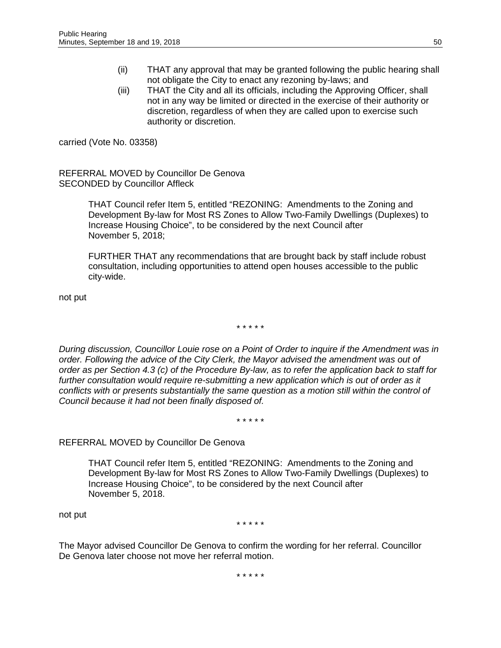- (ii) THAT any approval that may be granted following the public hearing shall not obligate the City to enact any rezoning by-laws; and
- (iii) THAT the City and all its officials, including the Approving Officer, shall not in any way be limited or directed in the exercise of their authority or discretion, regardless of when they are called upon to exercise such authority or discretion.

carried (Vote No. 03358)

REFERRAL MOVED by Councillor De Genova SECONDED by Councillor Affleck

> THAT Council refer Item 5, entitled "REZONING: Amendments to the Zoning and Development By-law for Most RS Zones to Allow Two-Family Dwellings (Duplexes) to Increase Housing Choice", to be considered by the next Council after November 5, 2018;

> FURTHER THAT any recommendations that are brought back by staff include robust consultation, including opportunities to attend open houses accessible to the public city-wide.

not put

\* \* \* \* \*

*During discussion, Councillor Louie rose on a Point of Order to inquire if the Amendment was in order. Following the advice of the City Clerk, the Mayor advised the amendment was out of order as per Section 4.3 (c) of the Procedure By-law, as to refer the application back to staff for further consultation would require re-submitting a new application which is out of order as it conflicts with or presents substantially the same question as a motion still within the control of Council because it had not been finally disposed of.* 

\* \* \* \* \*

# REFERRAL MOVED by Councillor De Genova

THAT Council refer Item 5, entitled "REZONING: Amendments to the Zoning and Development By-law for Most RS Zones to Allow Two-Family Dwellings (Duplexes) to Increase Housing Choice", to be considered by the next Council after November 5, 2018.

not put

\* \* \* \* \*

The Mayor advised Councillor De Genova to confirm the wording for her referral. Councillor De Genova later choose not move her referral motion.

\* \* \* \* \*